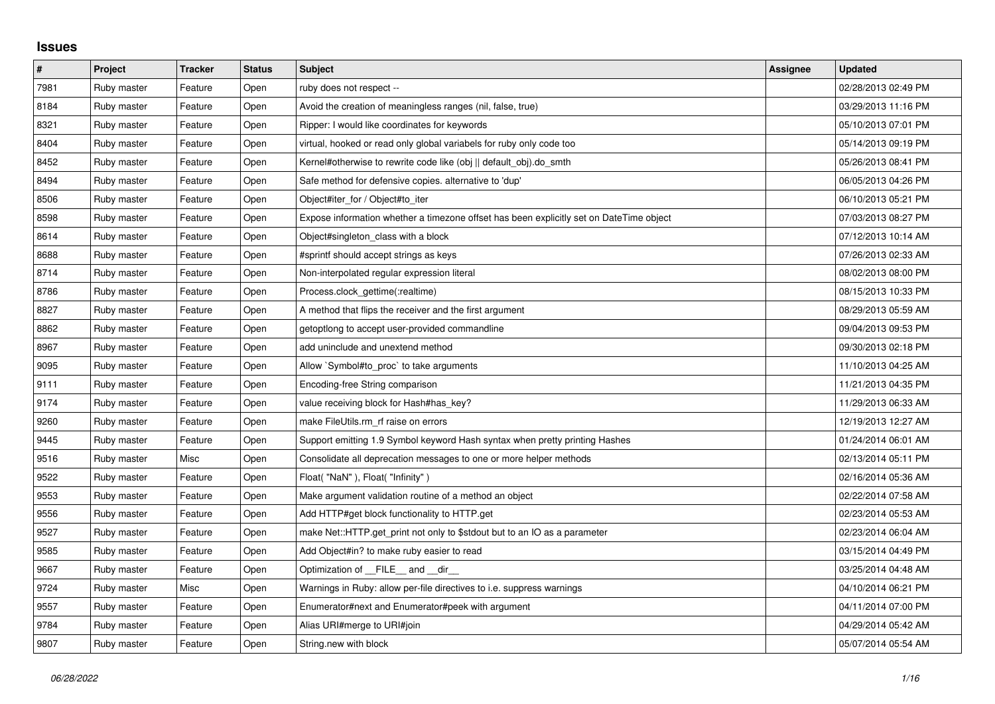## **Issues**

| $\#$ | <b>Project</b> | <b>Tracker</b> | <b>Status</b> | <b>Subject</b>                                                                          | Assignee | <b>Updated</b>      |
|------|----------------|----------------|---------------|-----------------------------------------------------------------------------------------|----------|---------------------|
| 7981 | Ruby master    | Feature        | Open          | ruby does not respect --                                                                |          | 02/28/2013 02:49 PM |
| 8184 | Ruby master    | Feature        | Open          | Avoid the creation of meaningless ranges (nil, false, true)                             |          | 03/29/2013 11:16 PM |
| 8321 | Ruby master    | Feature        | Open          | Ripper: I would like coordinates for keywords                                           |          | 05/10/2013 07:01 PM |
| 8404 | Ruby master    | Feature        | Open          | virtual, hooked or read only global variabels for ruby only code too                    |          | 05/14/2013 09:19 PM |
| 8452 | Ruby master    | Feature        | Open          | Kernel#otherwise to rewrite code like (obj    default_obj).do_smth                      |          | 05/26/2013 08:41 PM |
| 8494 | Ruby master    | Feature        | Open          | Safe method for defensive copies. alternative to 'dup'                                  |          | 06/05/2013 04:26 PM |
| 8506 | Ruby master    | Feature        | Open          | Object#iter_for / Object#to_iter                                                        |          | 06/10/2013 05:21 PM |
| 8598 | Ruby master    | Feature        | Open          | Expose information whether a timezone offset has been explicitly set on DateTime object |          | 07/03/2013 08:27 PM |
| 8614 | Ruby master    | Feature        | Open          | Object#singleton_class with a block                                                     |          | 07/12/2013 10:14 AM |
| 8688 | Ruby master    | Feature        | Open          | #sprintf should accept strings as keys                                                  |          | 07/26/2013 02:33 AM |
| 8714 | Ruby master    | Feature        | Open          | Non-interpolated regular expression literal                                             |          | 08/02/2013 08:00 PM |
| 8786 | Ruby master    | Feature        | Open          | Process.clock_gettime(:realtime)                                                        |          | 08/15/2013 10:33 PM |
| 8827 | Ruby master    | Feature        | Open          | A method that flips the receiver and the first argument                                 |          | 08/29/2013 05:59 AM |
| 8862 | Ruby master    | Feature        | Open          | getoptlong to accept user-provided commandline                                          |          | 09/04/2013 09:53 PM |
| 8967 | Ruby master    | Feature        | Open          | add uninclude and unextend method                                                       |          | 09/30/2013 02:18 PM |
| 9095 | Ruby master    | Feature        | Open          | Allow `Symbol#to_proc` to take arguments                                                |          | 11/10/2013 04:25 AM |
| 9111 | Ruby master    | Feature        | Open          | Encoding-free String comparison                                                         |          | 11/21/2013 04:35 PM |
| 9174 | Ruby master    | Feature        | Open          | value receiving block for Hash#has key?                                                 |          | 11/29/2013 06:33 AM |
| 9260 | Ruby master    | Feature        | Open          | make FileUtils.rm rf raise on errors                                                    |          | 12/19/2013 12:27 AM |
| 9445 | Ruby master    | Feature        | Open          | Support emitting 1.9 Symbol keyword Hash syntax when pretty printing Hashes             |          | 01/24/2014 06:01 AM |
| 9516 | Ruby master    | Misc           | Open          | Consolidate all deprecation messages to one or more helper methods                      |          | 02/13/2014 05:11 PM |
| 9522 | Ruby master    | Feature        | Open          | Float("NaN"), Float("Infinity")                                                         |          | 02/16/2014 05:36 AM |
| 9553 | Ruby master    | Feature        | Open          | Make argument validation routine of a method an object                                  |          | 02/22/2014 07:58 AM |
| 9556 | Ruby master    | Feature        | Open          | Add HTTP#get block functionality to HTTP.get                                            |          | 02/23/2014 05:53 AM |
| 9527 | Ruby master    | Feature        | Open          | make Net::HTTP.get print not only to \$stdout but to an IO as a parameter               |          | 02/23/2014 06:04 AM |
| 9585 | Ruby master    | Feature        | Open          | Add Object#in? to make ruby easier to read                                              |          | 03/15/2014 04:49 PM |
| 9667 | Ruby master    | Feature        | Open          | Optimization of __FILE__ and __dir_                                                     |          | 03/25/2014 04:48 AM |
| 9724 | Ruby master    | Misc           | Open          | Warnings in Ruby: allow per-file directives to i.e. suppress warnings                   |          | 04/10/2014 06:21 PM |
| 9557 | Ruby master    | Feature        | Open          | Enumerator#next and Enumerator#peek with argument                                       |          | 04/11/2014 07:00 PM |
| 9784 | Ruby master    | Feature        | Open          | Alias URI#merge to URI#join                                                             |          | 04/29/2014 05:42 AM |
| 9807 | Ruby master    | Feature        | Open          | String.new with block                                                                   |          | 05/07/2014 05:54 AM |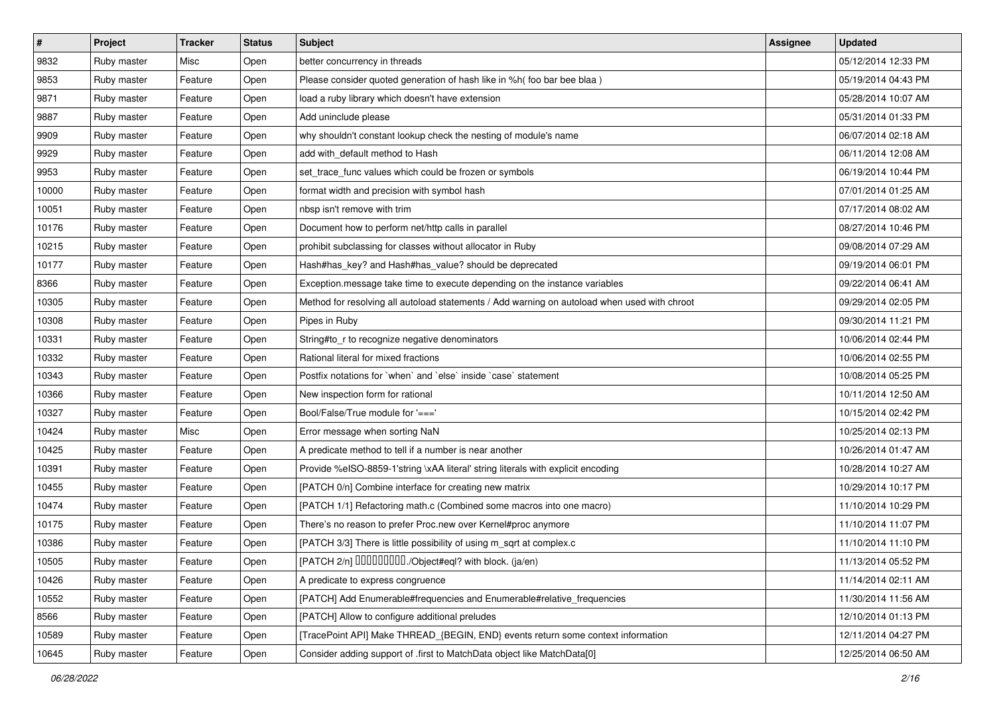| $\vert$ # | Project     | <b>Tracker</b> | <b>Status</b> | Subject                                                                                      | <b>Assignee</b> | <b>Updated</b>      |
|-----------|-------------|----------------|---------------|----------------------------------------------------------------------------------------------|-----------------|---------------------|
| 9832      | Ruby master | Misc           | Open          | better concurrency in threads                                                                |                 | 05/12/2014 12:33 PM |
| 9853      | Ruby master | Feature        | Open          | Please consider quoted generation of hash like in %h( foo bar bee blaa )                     |                 | 05/19/2014 04:43 PM |
| 9871      | Ruby master | Feature        | Open          | load a ruby library which doesn't have extension                                             |                 | 05/28/2014 10:07 AM |
| 9887      | Ruby master | Feature        | Open          | Add uninclude please                                                                         |                 | 05/31/2014 01:33 PM |
| 9909      | Ruby master | Feature        | Open          | why shouldn't constant lookup check the nesting of module's name                             |                 | 06/07/2014 02:18 AM |
| 9929      | Ruby master | Feature        | Open          | add with default method to Hash                                                              |                 | 06/11/2014 12:08 AM |
| 9953      | Ruby master | Feature        | Open          | set_trace_func values which could be frozen or symbols                                       |                 | 06/19/2014 10:44 PM |
| 10000     | Ruby master | Feature        | Open          | format width and precision with symbol hash                                                  |                 | 07/01/2014 01:25 AM |
| 10051     | Ruby master | Feature        | Open          | nbsp isn't remove with trim                                                                  |                 | 07/17/2014 08:02 AM |
| 10176     | Ruby master | Feature        | Open          | Document how to perform net/http calls in parallel                                           |                 | 08/27/2014 10:46 PM |
| 10215     | Ruby master | Feature        | Open          | prohibit subclassing for classes without allocator in Ruby                                   |                 | 09/08/2014 07:29 AM |
| 10177     | Ruby master | Feature        | Open          | Hash#has_key? and Hash#has_value? should be deprecated                                       |                 | 09/19/2014 06:01 PM |
| 8366      | Ruby master | Feature        | Open          | Exception.message take time to execute depending on the instance variables                   |                 | 09/22/2014 06:41 AM |
| 10305     | Ruby master | Feature        | Open          | Method for resolving all autoload statements / Add warning on autoload when used with chroot |                 | 09/29/2014 02:05 PM |
| 10308     | Ruby master | Feature        | Open          | Pipes in Ruby                                                                                |                 | 09/30/2014 11:21 PM |
| 10331     | Ruby master | Feature        | Open          | String#to_r to recognize negative denominators                                               |                 | 10/06/2014 02:44 PM |
| 10332     | Ruby master | Feature        | Open          | Rational literal for mixed fractions                                                         |                 | 10/06/2014 02:55 PM |
| 10343     | Ruby master | Feature        | Open          | Postfix notations for 'when' and 'else' inside 'case' statement                              |                 | 10/08/2014 05:25 PM |
| 10366     | Ruby master | Feature        | Open          | New inspection form for rational                                                             |                 | 10/11/2014 12:50 AM |
| 10327     | Ruby master | Feature        | Open          | Bool/False/True module for '==='                                                             |                 | 10/15/2014 02:42 PM |
| 10424     | Ruby master | Misc           | Open          | Error message when sorting NaN                                                               |                 | 10/25/2014 02:13 PM |
| 10425     | Ruby master | Feature        | Open          | A predicate method to tell if a number is near another                                       |                 | 10/26/2014 01:47 AM |
| 10391     | Ruby master | Feature        | Open          | Provide %eISO-8859-1'string \xAA literal' string literals with explicit encoding             |                 | 10/28/2014 10:27 AM |
| 10455     | Ruby master | Feature        | Open          | [PATCH 0/n] Combine interface for creating new matrix                                        |                 | 10/29/2014 10:17 PM |
| 10474     | Ruby master | Feature        | Open          | [PATCH 1/1] Refactoring math.c (Combined some macros into one macro)                         |                 | 11/10/2014 10:29 PM |
| 10175     | Ruby master | Feature        | Open          | There's no reason to prefer Proc.new over Kernel#proc anymore                                |                 | 11/10/2014 11:07 PM |
| 10386     | Ruby master | Feature        | Open          | [PATCH 3/3] There is little possibility of using m_sqrt at complex.c                         |                 | 11/10/2014 11:10 PM |
| 10505     | Ruby master | Feature        | Open          | [PATCH 2/n] DDDDDDDD./Object#eql? with block. (ja/en)                                        |                 | 11/13/2014 05:52 PM |
| 10426     | Ruby master | Feature        | Open          | A predicate to express congruence                                                            |                 | 11/14/2014 02:11 AM |
| 10552     | Ruby master | Feature        | Open          | [PATCH] Add Enumerable#frequencies and Enumerable#relative_frequencies                       |                 | 11/30/2014 11:56 AM |
| 8566      | Ruby master | Feature        | Open          | [PATCH] Allow to configure additional preludes                                               |                 | 12/10/2014 01:13 PM |
| 10589     | Ruby master | Feature        | Open          | [TracePoint API] Make THREAD_{BEGIN, END} events return some context information             |                 | 12/11/2014 04:27 PM |
| 10645     | Ruby master | Feature        | Open          | Consider adding support of .first to MatchData object like MatchData[0]                      |                 | 12/25/2014 06:50 AM |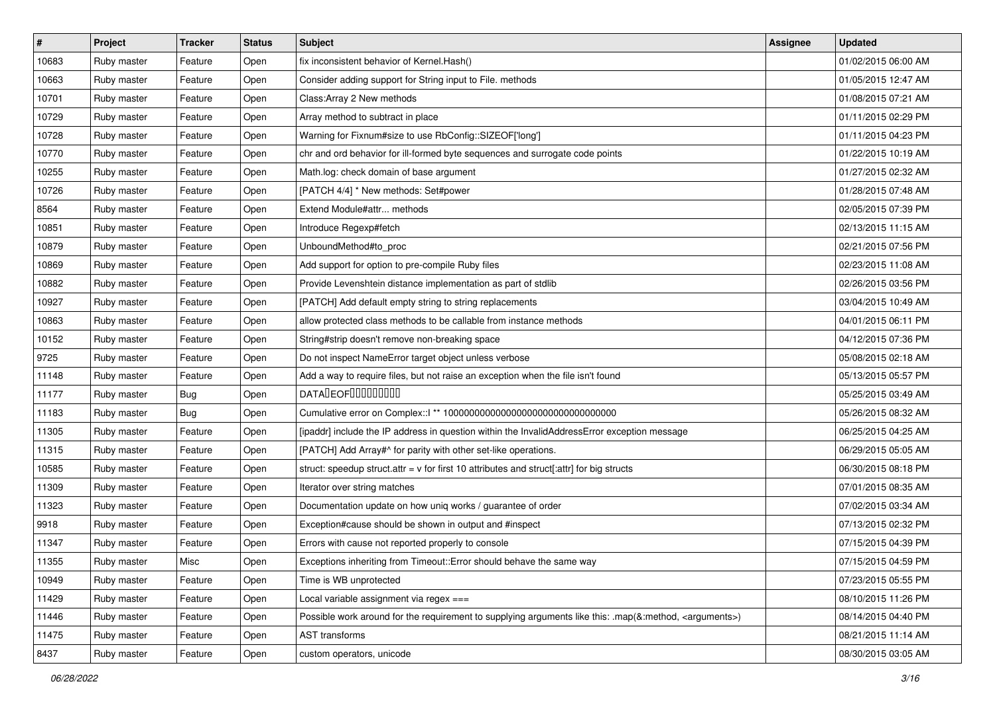| $\vert$ # | Project     | <b>Tracker</b> | <b>Status</b> | Subject                                                                                                            | Assignee | <b>Updated</b>      |
|-----------|-------------|----------------|---------------|--------------------------------------------------------------------------------------------------------------------|----------|---------------------|
| 10683     | Ruby master | Feature        | Open          | fix inconsistent behavior of Kernel. Hash()                                                                        |          | 01/02/2015 06:00 AM |
| 10663     | Ruby master | Feature        | Open          | Consider adding support for String input to File. methods                                                          |          | 01/05/2015 12:47 AM |
| 10701     | Ruby master | Feature        | Open          | Class: Array 2 New methods                                                                                         |          | 01/08/2015 07:21 AM |
| 10729     | Ruby master | Feature        | Open          | Array method to subtract in place                                                                                  |          | 01/11/2015 02:29 PM |
| 10728     | Ruby master | Feature        | Open          | Warning for Fixnum#size to use RbConfig::SIZEOF['long']                                                            |          | 01/11/2015 04:23 PM |
| 10770     | Ruby master | Feature        | Open          | chr and ord behavior for ill-formed byte sequences and surrogate code points                                       |          | 01/22/2015 10:19 AM |
| 10255     | Ruby master | Feature        | Open          | Math.log: check domain of base argument                                                                            |          | 01/27/2015 02:32 AM |
| 10726     | Ruby master | Feature        | Open          | [PATCH 4/4] * New methods: Set#power                                                                               |          | 01/28/2015 07:48 AM |
| 8564      | Ruby master | Feature        | Open          | Extend Module#attr methods                                                                                         |          | 02/05/2015 07:39 PM |
| 10851     | Ruby master | Feature        | Open          | Introduce Regexp#fetch                                                                                             |          | 02/13/2015 11:15 AM |
| 10879     | Ruby master | Feature        | Open          | UnboundMethod#to_proc                                                                                              |          | 02/21/2015 07:56 PM |
| 10869     | Ruby master | Feature        | Open          | Add support for option to pre-compile Ruby files                                                                   |          | 02/23/2015 11:08 AM |
| 10882     | Ruby master | Feature        | Open          | Provide Levenshtein distance implementation as part of stdlib                                                      |          | 02/26/2015 03:56 PM |
| 10927     | Ruby master | Feature        | Open          | [PATCH] Add default empty string to string replacements                                                            |          | 03/04/2015 10:49 AM |
| 10863     | Ruby master | Feature        | Open          | allow protected class methods to be callable from instance methods                                                 |          | 04/01/2015 06:11 PM |
| 10152     | Ruby master | Feature        | Open          | String#strip doesn't remove non-breaking space                                                                     |          | 04/12/2015 07:36 PM |
| 9725      | Ruby master | Feature        | Open          | Do not inspect NameError target object unless verbose                                                              |          | 05/08/2015 02:18 AM |
| 11148     | Ruby master | Feature        | Open          | Add a way to require files, but not raise an exception when the file isn't found                                   |          | 05/13/2015 05:57 PM |
| 11177     | Ruby master | <b>Bug</b>     | Open          | <b>DATALEOFILILILILILI</b>                                                                                         |          | 05/25/2015 03:49 AM |
| 11183     | Ruby master | <b>Bug</b>     | Open          |                                                                                                                    |          | 05/26/2015 08:32 AM |
| 11305     | Ruby master | Feature        | Open          | [ipaddr] include the IP address in question within the InvalidAddressError exception message                       |          | 06/25/2015 04:25 AM |
| 11315     | Ruby master | Feature        | Open          | [PATCH] Add Array#^ for parity with other set-like operations.                                                     |          | 06/29/2015 05:05 AM |
| 10585     | Ruby master | Feature        | Open          | struct: speedup struct.attr = $v$ for first 10 attributes and struct[:attr] for big structs                        |          | 06/30/2015 08:18 PM |
| 11309     | Ruby master | Feature        | Open          | Iterator over string matches                                                                                       |          | 07/01/2015 08:35 AM |
| 11323     | Ruby master | Feature        | Open          | Documentation update on how uniq works / guarantee of order                                                        |          | 07/02/2015 03:34 AM |
| 9918      | Ruby master | Feature        | Open          | Exception#cause should be shown in output and #inspect                                                             |          | 07/13/2015 02:32 PM |
| 11347     | Ruby master | Feature        | Open          | Errors with cause not reported properly to console                                                                 |          | 07/15/2015 04:39 PM |
| 11355     | Ruby master | Misc           | Open          | Exceptions inheriting from Timeout:: Error should behave the same way                                              |          | 07/15/2015 04:59 PM |
| 10949     | Ruby master | Feature        | Open          | Time is WB unprotected                                                                                             |          | 07/23/2015 05:55 PM |
| 11429     | Ruby master | Feature        | Open          | Local variable assignment via regex ===                                                                            |          | 08/10/2015 11:26 PM |
| 11446     | Ruby master | Feature        | Open          | Possible work around for the requirement to supplying arguments like this: .map(&:method, <arguments>)</arguments> |          | 08/14/2015 04:40 PM |
| 11475     | Ruby master | Feature        | Open          | AST transforms                                                                                                     |          | 08/21/2015 11:14 AM |
| 8437      | Ruby master | Feature        | Open          | custom operators, unicode                                                                                          |          | 08/30/2015 03:05 AM |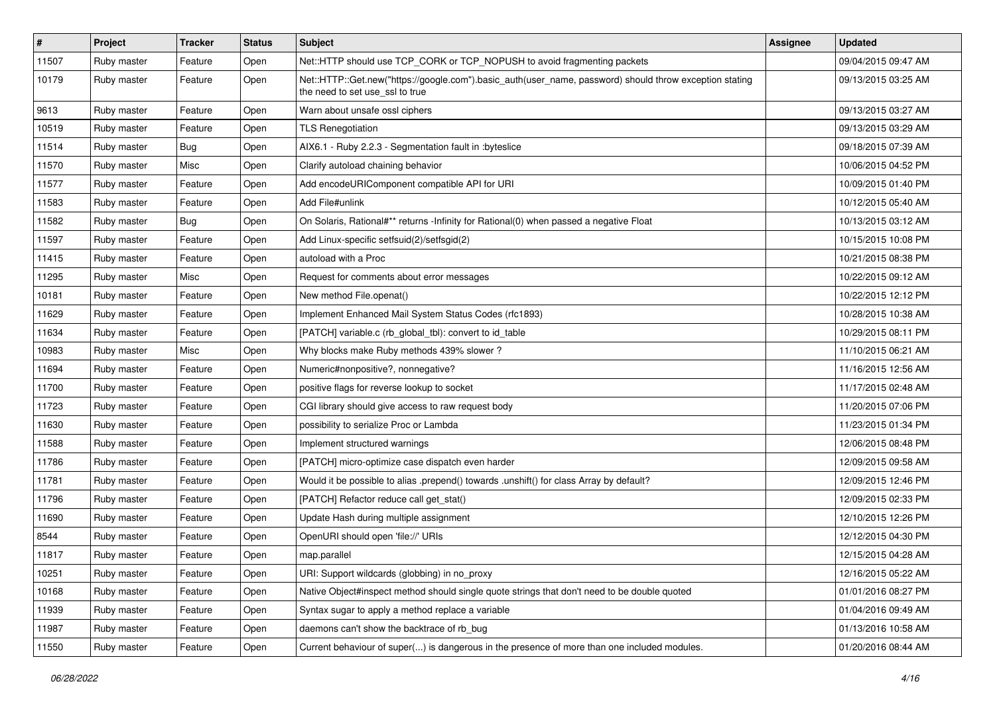| $\vert$ # | Project     | <b>Tracker</b> | <b>Status</b> | Subject                                                                                                                                    | <b>Assignee</b> | <b>Updated</b>      |
|-----------|-------------|----------------|---------------|--------------------------------------------------------------------------------------------------------------------------------------------|-----------------|---------------------|
| 11507     | Ruby master | Feature        | Open          | Net::HTTP should use TCP_CORK or TCP_NOPUSH to avoid fragmenting packets                                                                   |                 | 09/04/2015 09:47 AM |
| 10179     | Ruby master | Feature        | Open          | Net::HTTP::Get.new("https://google.com").basic_auth(user_name, password) should throw exception stating<br>the need to set use_ssl to true |                 | 09/13/2015 03:25 AM |
| 9613      | Ruby master | Feature        | Open          | Warn about unsafe ossl ciphers                                                                                                             |                 | 09/13/2015 03:27 AM |
| 10519     | Ruby master | Feature        | Open          | <b>TLS Renegotiation</b>                                                                                                                   |                 | 09/13/2015 03:29 AM |
| 11514     | Ruby master | <b>Bug</b>     | Open          | AIX6.1 - Ruby 2.2.3 - Segmentation fault in :byteslice                                                                                     |                 | 09/18/2015 07:39 AM |
| 11570     | Ruby master | Misc           | Open          | Clarify autoload chaining behavior                                                                                                         |                 | 10/06/2015 04:52 PM |
| 11577     | Ruby master | Feature        | Open          | Add encodeURIComponent compatible API for URI                                                                                              |                 | 10/09/2015 01:40 PM |
| 11583     | Ruby master | Feature        | Open          | Add File#unlink                                                                                                                            |                 | 10/12/2015 05:40 AM |
| 11582     | Ruby master | <b>Bug</b>     | Open          | On Solaris, Rational#** returns -Infinity for Rational(0) when passed a negative Float                                                     |                 | 10/13/2015 03:12 AM |
| 11597     | Ruby master | Feature        | Open          | Add Linux-specific setfsuid(2)/setfsgid(2)                                                                                                 |                 | 10/15/2015 10:08 PM |
| 11415     | Ruby master | Feature        | Open          | autoload with a Proc                                                                                                                       |                 | 10/21/2015 08:38 PM |
| 11295     | Ruby master | Misc           | Open          | Request for comments about error messages                                                                                                  |                 | 10/22/2015 09:12 AM |
| 10181     | Ruby master | Feature        | Open          | New method File.openat()                                                                                                                   |                 | 10/22/2015 12:12 PM |
| 11629     | Ruby master | Feature        | Open          | Implement Enhanced Mail System Status Codes (rfc1893)                                                                                      |                 | 10/28/2015 10:38 AM |
| 11634     | Ruby master | Feature        | Open          | [PATCH] variable.c (rb_global_tbl): convert to id_table                                                                                    |                 | 10/29/2015 08:11 PM |
| 10983     | Ruby master | Misc           | Open          | Why blocks make Ruby methods 439% slower?                                                                                                  |                 | 11/10/2015 06:21 AM |
| 11694     | Ruby master | Feature        | Open          | Numeric#nonpositive?, nonnegative?                                                                                                         |                 | 11/16/2015 12:56 AM |
| 11700     | Ruby master | Feature        | Open          | positive flags for reverse lookup to socket                                                                                                |                 | 11/17/2015 02:48 AM |
| 11723     | Ruby master | Feature        | Open          | CGI library should give access to raw request body                                                                                         |                 | 11/20/2015 07:06 PM |
| 11630     | Ruby master | Feature        | Open          | possibility to serialize Proc or Lambda                                                                                                    |                 | 11/23/2015 01:34 PM |
| 11588     | Ruby master | Feature        | Open          | Implement structured warnings                                                                                                              |                 | 12/06/2015 08:48 PM |
| 11786     | Ruby master | Feature        | Open          | [PATCH] micro-optimize case dispatch even harder                                                                                           |                 | 12/09/2015 09:58 AM |
| 11781     | Ruby master | Feature        | Open          | Would it be possible to alias .prepend() towards .unshift() for class Array by default?                                                    |                 | 12/09/2015 12:46 PM |
| 11796     | Ruby master | Feature        | Open          | [PATCH] Refactor reduce call get_stat()                                                                                                    |                 | 12/09/2015 02:33 PM |
| 11690     | Ruby master | Feature        | Open          | Update Hash during multiple assignment                                                                                                     |                 | 12/10/2015 12:26 PM |
| 8544      | Ruby master | Feature        | Open          | OpenURI should open 'file://' URIs                                                                                                         |                 | 12/12/2015 04:30 PM |
| 11817     | Ruby master | Feature        | Open          | map.parallel                                                                                                                               |                 | 12/15/2015 04:28 AM |
| 10251     | Ruby master | Feature        | Open          | URI: Support wildcards (globbing) in no_proxy                                                                                              |                 | 12/16/2015 05:22 AM |
| 10168     | Ruby master | Feature        | Open          | Native Object#inspect method should single quote strings that don't need to be double quoted                                               |                 | 01/01/2016 08:27 PM |
| 11939     | Ruby master | Feature        | Open          | Syntax sugar to apply a method replace a variable                                                                                          |                 | 01/04/2016 09:49 AM |
| 11987     | Ruby master | Feature        | Open          | daemons can't show the backtrace of rb bug                                                                                                 |                 | 01/13/2016 10:58 AM |
| 11550     | Ruby master | Feature        | Open          | Current behaviour of super() is dangerous in the presence of more than one included modules.                                               |                 | 01/20/2016 08:44 AM |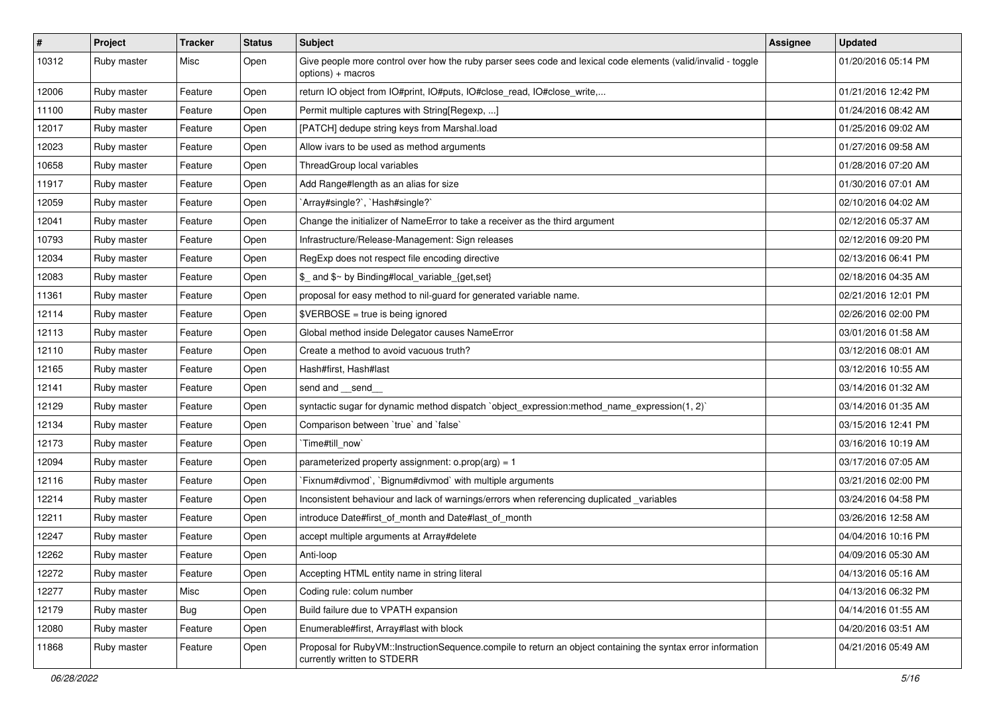| $\vert$ # | Project     | <b>Tracker</b> | <b>Status</b> | <b>Subject</b>                                                                                                                              | Assignee | <b>Updated</b>      |
|-----------|-------------|----------------|---------------|---------------------------------------------------------------------------------------------------------------------------------------------|----------|---------------------|
| 10312     | Ruby master | Misc           | Open          | Give people more control over how the ruby parser sees code and lexical code elements (valid/invalid - toggle<br>options) + macros          |          | 01/20/2016 05:14 PM |
| 12006     | Ruby master | Feature        | Open          | return IO object from IO#print, IO#puts, IO#close_read, IO#close_write,                                                                     |          | 01/21/2016 12:42 PM |
| 11100     | Ruby master | Feature        | Open          | Permit multiple captures with String[Regexp, ]                                                                                              |          | 01/24/2016 08:42 AM |
| 12017     | Ruby master | Feature        | Open          | [PATCH] dedupe string keys from Marshal.load                                                                                                |          | 01/25/2016 09:02 AM |
| 12023     | Ruby master | Feature        | Open          | Allow ivars to be used as method arguments                                                                                                  |          | 01/27/2016 09:58 AM |
| 10658     | Ruby master | Feature        | Open          | ThreadGroup local variables                                                                                                                 |          | 01/28/2016 07:20 AM |
| 11917     | Ruby master | Feature        | Open          | Add Range#length as an alias for size                                                                                                       |          | 01/30/2016 07:01 AM |
| 12059     | Ruby master | Feature        | Open          | 'Array#single?', 'Hash#single?'                                                                                                             |          | 02/10/2016 04:02 AM |
| 12041     | Ruby master | Feature        | Open          | Change the initializer of NameError to take a receiver as the third argument                                                                |          | 02/12/2016 05:37 AM |
| 10793     | Ruby master | Feature        | Open          | Infrastructure/Release-Management: Sign releases                                                                                            |          | 02/12/2016 09:20 PM |
| 12034     | Ruby master | Feature        | Open          | RegExp does not respect file encoding directive                                                                                             |          | 02/13/2016 06:41 PM |
| 12083     | Ruby master | Feature        | Open          | \$_ and \$~ by Binding#local_variable_{get,set}                                                                                             |          | 02/18/2016 04:35 AM |
| 11361     | Ruby master | Feature        | Open          | proposal for easy method to nil-guard for generated variable name.                                                                          |          | 02/21/2016 12:01 PM |
| 12114     | Ruby master | Feature        | Open          | \$VERBOSE = true is being ignored                                                                                                           |          | 02/26/2016 02:00 PM |
| 12113     | Ruby master | Feature        | Open          | Global method inside Delegator causes NameError                                                                                             |          | 03/01/2016 01:58 AM |
| 12110     | Ruby master | Feature        | Open          | Create a method to avoid vacuous truth?                                                                                                     |          | 03/12/2016 08:01 AM |
| 12165     | Ruby master | Feature        | Open          | Hash#first, Hash#last                                                                                                                       |          | 03/12/2016 10:55 AM |
| 12141     | Ruby master | Feature        | Open          | send and __send_                                                                                                                            |          | 03/14/2016 01:32 AM |
| 12129     | Ruby master | Feature        | Open          | syntactic sugar for dynamic method dispatch `object_expression:method_name_expression(1, 2)`                                                |          | 03/14/2016 01:35 AM |
| 12134     | Ruby master | Feature        | Open          | Comparison between 'true' and 'false'                                                                                                       |          | 03/15/2016 12:41 PM |
| 12173     | Ruby master | Feature        | Open          | Time#till_now`                                                                                                                              |          | 03/16/2016 10:19 AM |
| 12094     | Ruby master | Feature        | Open          | parameterized property assignment: $o.prop(arg) = 1$                                                                                        |          | 03/17/2016 07:05 AM |
| 12116     | Ruby master | Feature        | Open          | Fixnum#divmod`, `Bignum#divmod` with multiple arguments                                                                                     |          | 03/21/2016 02:00 PM |
| 12214     | Ruby master | Feature        | Open          | Inconsistent behaviour and lack of warnings/errors when referencing duplicated _variables                                                   |          | 03/24/2016 04:58 PM |
| 12211     | Ruby master | Feature        | Open          | introduce Date#first_of_month and Date#last_of_month                                                                                        |          | 03/26/2016 12:58 AM |
| 12247     | Ruby master | Feature        | Open          | accept multiple arguments at Array#delete                                                                                                   |          | 04/04/2016 10:16 PM |
| 12262     | Ruby master | Feature        | Open          | Anti-loop                                                                                                                                   |          | 04/09/2016 05:30 AM |
| 12272     | Ruby master | Feature        | Open          | Accepting HTML entity name in string literal                                                                                                |          | 04/13/2016 05:16 AM |
| 12277     | Ruby master | Misc           | Open          | Coding rule: colum number                                                                                                                   |          | 04/13/2016 06:32 PM |
| 12179     | Ruby master | <b>Bug</b>     | Open          | Build failure due to VPATH expansion                                                                                                        |          | 04/14/2016 01:55 AM |
| 12080     | Ruby master | Feature        | Open          | Enumerable#first, Array#last with block                                                                                                     |          | 04/20/2016 03:51 AM |
| 11868     | Ruby master | Feature        | Open          | Proposal for RubyVM::InstructionSequence.compile to return an object containing the syntax error information<br>currently written to STDERR |          | 04/21/2016 05:49 AM |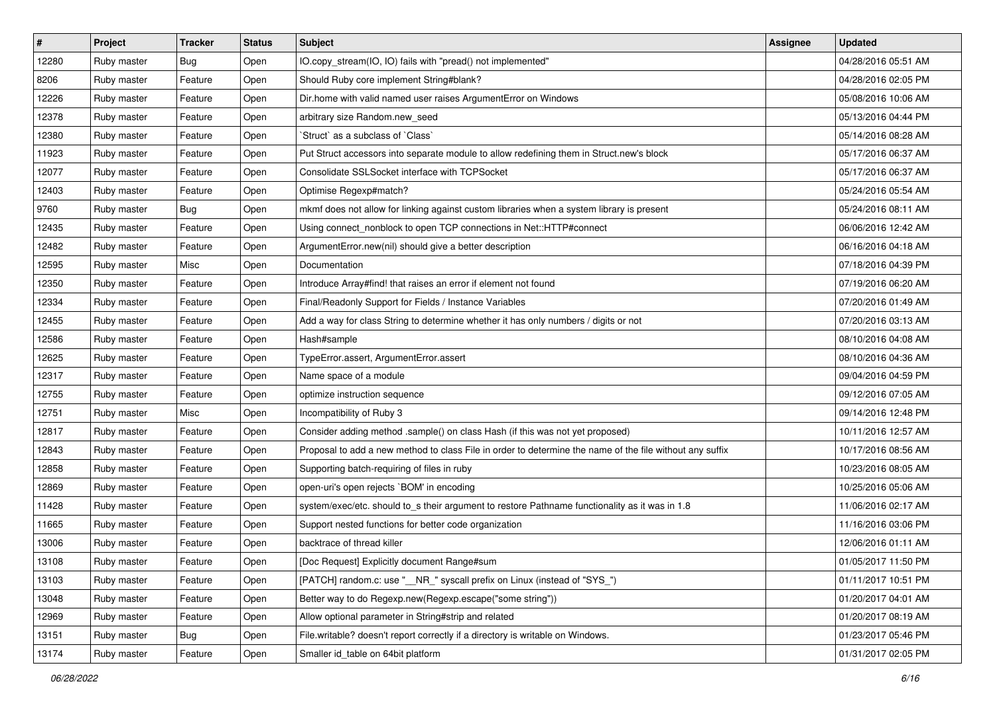| $\vert$ # | Project     | <b>Tracker</b> | <b>Status</b> | Subject                                                                                                  | Assignee | <b>Updated</b>      |
|-----------|-------------|----------------|---------------|----------------------------------------------------------------------------------------------------------|----------|---------------------|
| 12280     | Ruby master | <b>Bug</b>     | Open          | IO.copy_stream(IO, IO) fails with "pread() not implemented"                                              |          | 04/28/2016 05:51 AM |
| 8206      | Ruby master | Feature        | Open          | Should Ruby core implement String#blank?                                                                 |          | 04/28/2016 02:05 PM |
| 12226     | Ruby master | Feature        | Open          | Dir.home with valid named user raises ArgumentError on Windows                                           |          | 05/08/2016 10:06 AM |
| 12378     | Ruby master | Feature        | Open          | arbitrary size Random.new_seed                                                                           |          | 05/13/2016 04:44 PM |
| 12380     | Ruby master | Feature        | Open          | 'Struct' as a subclass of 'Class'                                                                        |          | 05/14/2016 08:28 AM |
| 11923     | Ruby master | Feature        | Open          | Put Struct accessors into separate module to allow redefining them in Struct.new's block                 |          | 05/17/2016 06:37 AM |
| 12077     | Ruby master | Feature        | Open          | Consolidate SSLSocket interface with TCPSocket                                                           |          | 05/17/2016 06:37 AM |
| 12403     | Ruby master | Feature        | Open          | Optimise Regexp#match?                                                                                   |          | 05/24/2016 05:54 AM |
| 9760      | Ruby master | <b>Bug</b>     | Open          | mkmf does not allow for linking against custom libraries when a system library is present                |          | 05/24/2016 08:11 AM |
| 12435     | Ruby master | Feature        | Open          | Using connect_nonblock to open TCP connections in Net::HTTP#connect                                      |          | 06/06/2016 12:42 AM |
| 12482     | Ruby master | Feature        | Open          | ArgumentError.new(nil) should give a better description                                                  |          | 06/16/2016 04:18 AM |
| 12595     | Ruby master | Misc           | Open          | Documentation                                                                                            |          | 07/18/2016 04:39 PM |
| 12350     | Ruby master | Feature        | Open          | Introduce Array#find! that raises an error if element not found                                          |          | 07/19/2016 06:20 AM |
| 12334     | Ruby master | Feature        | Open          | Final/Readonly Support for Fields / Instance Variables                                                   |          | 07/20/2016 01:49 AM |
| 12455     | Ruby master | Feature        | Open          | Add a way for class String to determine whether it has only numbers / digits or not                      |          | 07/20/2016 03:13 AM |
| 12586     | Ruby master | Feature        | Open          | Hash#sample                                                                                              |          | 08/10/2016 04:08 AM |
| 12625     | Ruby master | Feature        | Open          | TypeError.assert, ArgumentError.assert                                                                   |          | 08/10/2016 04:36 AM |
| 12317     | Ruby master | Feature        | Open          | Name space of a module                                                                                   |          | 09/04/2016 04:59 PM |
| 12755     | Ruby master | Feature        | Open          | optimize instruction sequence                                                                            |          | 09/12/2016 07:05 AM |
| 12751     | Ruby master | Misc           | Open          | Incompatibility of Ruby 3                                                                                |          | 09/14/2016 12:48 PM |
| 12817     | Ruby master | Feature        | Open          | Consider adding method .sample() on class Hash (if this was not yet proposed)                            |          | 10/11/2016 12:57 AM |
| 12843     | Ruby master | Feature        | Open          | Proposal to add a new method to class File in order to determine the name of the file without any suffix |          | 10/17/2016 08:56 AM |
| 12858     | Ruby master | Feature        | Open          | Supporting batch-requiring of files in ruby                                                              |          | 10/23/2016 08:05 AM |
| 12869     | Ruby master | Feature        | Open          | open-uri's open rejects `BOM' in encoding                                                                |          | 10/25/2016 05:06 AM |
| 11428     | Ruby master | Feature        | Open          | system/exec/etc. should to_s their argument to restore Pathname functionality as it was in 1.8           |          | 11/06/2016 02:17 AM |
| 11665     | Ruby master | Feature        | Open          | Support nested functions for better code organization                                                    |          | 11/16/2016 03:06 PM |
| 13006     | Ruby master | Feature        | Open          | backtrace of thread killer                                                                               |          | 12/06/2016 01:11 AM |
| 13108     | Ruby master | Feature        | Open          | [Doc Request] Explicitly document Range#sum                                                              |          | 01/05/2017 11:50 PM |
| 13103     | Ruby master | Feature        | Open          | [PATCH] random.c: use "__NR_" syscall prefix on Linux (instead of "SYS_")                                |          | 01/11/2017 10:51 PM |
| 13048     | Ruby master | Feature        | Open          | Better way to do Regexp.new(Regexp.escape("some string"))                                                |          | 01/20/2017 04:01 AM |
| 12969     | Ruby master | Feature        | Open          | Allow optional parameter in String#strip and related                                                     |          | 01/20/2017 08:19 AM |
| 13151     | Ruby master | <b>Bug</b>     | Open          | File.writable? doesn't report correctly if a directory is writable on Windows.                           |          | 01/23/2017 05:46 PM |
| 13174     | Ruby master | Feature        | Open          | Smaller id_table on 64bit platform                                                                       |          | 01/31/2017 02:05 PM |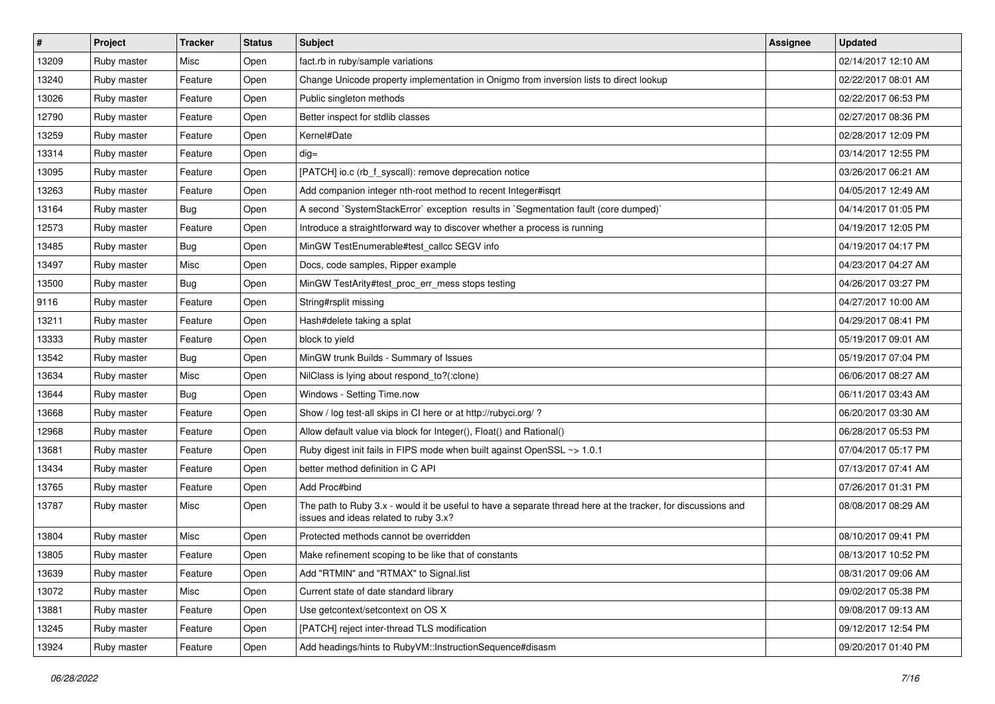| #     | Project     | <b>Tracker</b> | <b>Status</b> | Subject                                                                                                                                               | Assignee | <b>Updated</b>      |
|-------|-------------|----------------|---------------|-------------------------------------------------------------------------------------------------------------------------------------------------------|----------|---------------------|
| 13209 | Ruby master | Misc           | Open          | fact.rb in ruby/sample variations                                                                                                                     |          | 02/14/2017 12:10 AM |
| 13240 | Ruby master | Feature        | Open          | Change Unicode property implementation in Onigmo from inversion lists to direct lookup                                                                |          | 02/22/2017 08:01 AM |
| 13026 | Ruby master | Feature        | Open          | Public singleton methods                                                                                                                              |          | 02/22/2017 06:53 PM |
| 12790 | Ruby master | Feature        | Open          | Better inspect for stdlib classes                                                                                                                     |          | 02/27/2017 08:36 PM |
| 13259 | Ruby master | Feature        | Open          | Kernel#Date                                                                                                                                           |          | 02/28/2017 12:09 PM |
| 13314 | Ruby master | Feature        | Open          | $dig =$                                                                                                                                               |          | 03/14/2017 12:55 PM |
| 13095 | Ruby master | Feature        | Open          | [PATCH] io.c (rb_f_syscall): remove deprecation notice                                                                                                |          | 03/26/2017 06:21 AM |
| 13263 | Ruby master | Feature        | Open          | Add companion integer nth-root method to recent Integer#isgrt                                                                                         |          | 04/05/2017 12:49 AM |
| 13164 | Ruby master | <b>Bug</b>     | Open          | A second `SystemStackError` exception results in `Segmentation fault (core dumped)`                                                                   |          | 04/14/2017 01:05 PM |
| 12573 | Ruby master | Feature        | Open          | Introduce a straightforward way to discover whether a process is running                                                                              |          | 04/19/2017 12:05 PM |
| 13485 | Ruby master | <b>Bug</b>     | Open          | MinGW TestEnumerable#test_callcc SEGV info                                                                                                            |          | 04/19/2017 04:17 PM |
| 13497 | Ruby master | Misc           | Open          | Docs, code samples, Ripper example                                                                                                                    |          | 04/23/2017 04:27 AM |
| 13500 | Ruby master | Bug            | Open          | MinGW TestArity#test_proc_err_mess stops testing                                                                                                      |          | 04/26/2017 03:27 PM |
| 9116  | Ruby master | Feature        | Open          | String#rsplit missing                                                                                                                                 |          | 04/27/2017 10:00 AM |
| 13211 | Ruby master | Feature        | Open          | Hash#delete taking a splat                                                                                                                            |          | 04/29/2017 08:41 PM |
| 13333 | Ruby master | Feature        | Open          | block to yield                                                                                                                                        |          | 05/19/2017 09:01 AM |
| 13542 | Ruby master | <b>Bug</b>     | Open          | MinGW trunk Builds - Summary of Issues                                                                                                                |          | 05/19/2017 07:04 PM |
| 13634 | Ruby master | Misc           | Open          | NilClass is lying about respond_to?(:clone)                                                                                                           |          | 06/06/2017 08:27 AM |
| 13644 | Ruby master | <b>Bug</b>     | Open          | Windows - Setting Time.now                                                                                                                            |          | 06/11/2017 03:43 AM |
| 13668 | Ruby master | Feature        | Open          | Show / log test-all skips in CI here or at http://rubyci.org/ ?                                                                                       |          | 06/20/2017 03:30 AM |
| 12968 | Ruby master | Feature        | Open          | Allow default value via block for Integer(), Float() and Rational()                                                                                   |          | 06/28/2017 05:53 PM |
| 13681 | Ruby master | Feature        | Open          | Ruby digest init fails in FIPS mode when built against OpenSSL ~> 1.0.1                                                                               |          | 07/04/2017 05:17 PM |
| 13434 | Ruby master | Feature        | Open          | better method definition in C API                                                                                                                     |          | 07/13/2017 07:41 AM |
| 13765 | Ruby master | Feature        | Open          | Add Proc#bind                                                                                                                                         |          | 07/26/2017 01:31 PM |
| 13787 | Ruby master | Misc           | Open          | The path to Ruby 3.x - would it be useful to have a separate thread here at the tracker, for discussions and<br>issues and ideas related to ruby 3.x? |          | 08/08/2017 08:29 AM |
| 13804 | Ruby master | Misc           | Open          | Protected methods cannot be overridden                                                                                                                |          | 08/10/2017 09:41 PM |
| 13805 | Ruby master | Feature        | Open          | Make refinement scoping to be like that of constants                                                                                                  |          | 08/13/2017 10:52 PM |
| 13639 | Ruby master | Feature        | Open          | Add "RTMIN" and "RTMAX" to Signal.list                                                                                                                |          | 08/31/2017 09:06 AM |
| 13072 | Ruby master | Misc           | Open          | Current state of date standard library                                                                                                                |          | 09/02/2017 05:38 PM |
| 13881 | Ruby master | Feature        | Open          | Use getcontext/setcontext on OS X                                                                                                                     |          | 09/08/2017 09:13 AM |
| 13245 | Ruby master | Feature        | Open          | [PATCH] reject inter-thread TLS modification                                                                                                          |          | 09/12/2017 12:54 PM |
| 13924 | Ruby master | Feature        | Open          | Add headings/hints to RubyVM::InstructionSequence#disasm                                                                                              |          | 09/20/2017 01:40 PM |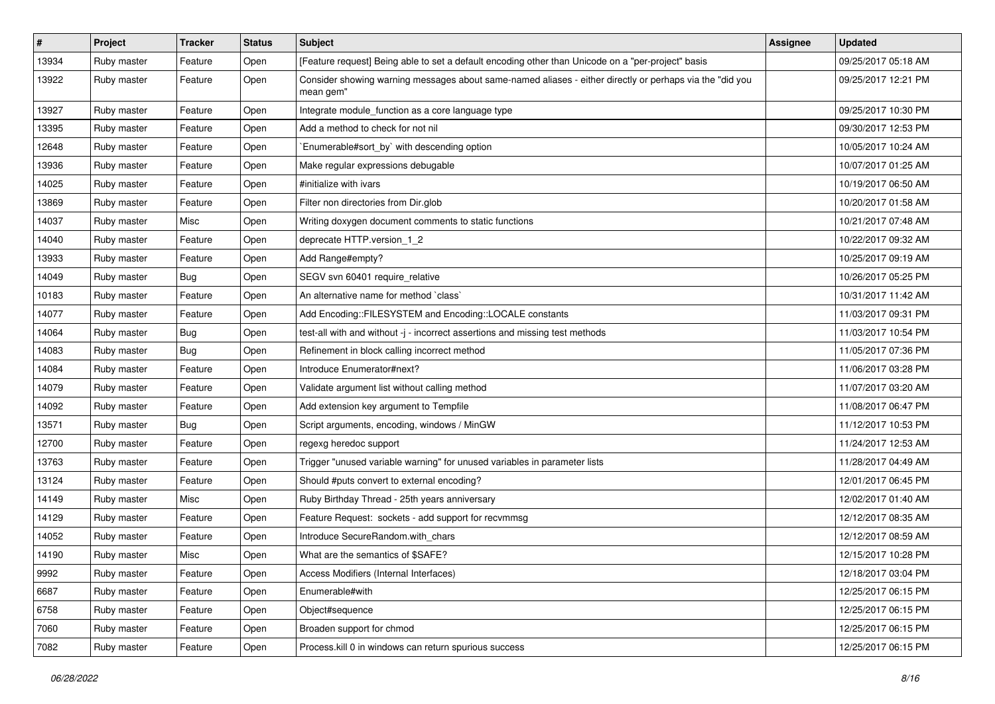| $\vert$ # | Project     | <b>Tracker</b> | <b>Status</b> | Subject                                                                                                               | <b>Assignee</b> | <b>Updated</b>      |
|-----------|-------------|----------------|---------------|-----------------------------------------------------------------------------------------------------------------------|-----------------|---------------------|
| 13934     | Ruby master | Feature        | Open          | [Feature request] Being able to set a default encoding other than Unicode on a "per-project" basis                    |                 | 09/25/2017 05:18 AM |
| 13922     | Ruby master | Feature        | Open          | Consider showing warning messages about same-named aliases - either directly or perhaps via the "did you<br>mean gem" |                 | 09/25/2017 12:21 PM |
| 13927     | Ruby master | Feature        | Open          | Integrate module_function as a core language type                                                                     |                 | 09/25/2017 10:30 PM |
| 13395     | Ruby master | Feature        | Open          | Add a method to check for not nil                                                                                     |                 | 09/30/2017 12:53 PM |
| 12648     | Ruby master | Feature        | Open          | Enumerable#sort_by` with descending option                                                                            |                 | 10/05/2017 10:24 AM |
| 13936     | Ruby master | Feature        | Open          | Make regular expressions debugable                                                                                    |                 | 10/07/2017 01:25 AM |
| 14025     | Ruby master | Feature        | Open          | #initialize with ivars                                                                                                |                 | 10/19/2017 06:50 AM |
| 13869     | Ruby master | Feature        | Open          | Filter non directories from Dir.glob                                                                                  |                 | 10/20/2017 01:58 AM |
| 14037     | Ruby master | Misc           | Open          | Writing doxygen document comments to static functions                                                                 |                 | 10/21/2017 07:48 AM |
| 14040     | Ruby master | Feature        | Open          | deprecate HTTP.version_1_2                                                                                            |                 | 10/22/2017 09:32 AM |
| 13933     | Ruby master | Feature        | Open          | Add Range#empty?                                                                                                      |                 | 10/25/2017 09:19 AM |
| 14049     | Ruby master | <b>Bug</b>     | Open          | SEGV svn 60401 require relative                                                                                       |                 | 10/26/2017 05:25 PM |
| 10183     | Ruby master | Feature        | Open          | An alternative name for method `class`                                                                                |                 | 10/31/2017 11:42 AM |
| 14077     | Ruby master | Feature        | Open          | Add Encoding::FILESYSTEM and Encoding::LOCALE constants                                                               |                 | 11/03/2017 09:31 PM |
| 14064     | Ruby master | <b>Bug</b>     | Open          | test-all with and without -j - incorrect assertions and missing test methods                                          |                 | 11/03/2017 10:54 PM |
| 14083     | Ruby master | <b>Bug</b>     | Open          | Refinement in block calling incorrect method                                                                          |                 | 11/05/2017 07:36 PM |
| 14084     | Ruby master | Feature        | Open          | Introduce Enumerator#next?                                                                                            |                 | 11/06/2017 03:28 PM |
| 14079     | Ruby master | Feature        | Open          | Validate argument list without calling method                                                                         |                 | 11/07/2017 03:20 AM |
| 14092     | Ruby master | Feature        | Open          | Add extension key argument to Tempfile                                                                                |                 | 11/08/2017 06:47 PM |
| 13571     | Ruby master | <b>Bug</b>     | Open          | Script arguments, encoding, windows / MinGW                                                                           |                 | 11/12/2017 10:53 PM |
| 12700     | Ruby master | Feature        | Open          | regexg heredoc support                                                                                                |                 | 11/24/2017 12:53 AM |
| 13763     | Ruby master | Feature        | Open          | Trigger "unused variable warning" for unused variables in parameter lists                                             |                 | 11/28/2017 04:49 AM |
| 13124     | Ruby master | Feature        | Open          | Should #puts convert to external encoding?                                                                            |                 | 12/01/2017 06:45 PM |
| 14149     | Ruby master | Misc           | Open          | Ruby Birthday Thread - 25th years anniversary                                                                         |                 | 12/02/2017 01:40 AM |
| 14129     | Ruby master | Feature        | Open          | Feature Request: sockets - add support for recvmmsg                                                                   |                 | 12/12/2017 08:35 AM |
| 14052     | Ruby master | Feature        | Open          | Introduce SecureRandom.with_chars                                                                                     |                 | 12/12/2017 08:59 AM |
| 14190     | Ruby master | Misc           | Open          | What are the semantics of \$SAFE?                                                                                     |                 | 12/15/2017 10:28 PM |
| 9992      | Ruby master | Feature        | Open          | Access Modifiers (Internal Interfaces)                                                                                |                 | 12/18/2017 03:04 PM |
| 6687      | Ruby master | Feature        | Open          | Enumerable#with                                                                                                       |                 | 12/25/2017 06:15 PM |
| 6758      | Ruby master | Feature        | Open          | Object#sequence                                                                                                       |                 | 12/25/2017 06:15 PM |
| 7060      | Ruby master | Feature        | Open          | Broaden support for chmod                                                                                             |                 | 12/25/2017 06:15 PM |
| 7082      | Ruby master | Feature        | Open          | Process.kill 0 in windows can return spurious success                                                                 |                 | 12/25/2017 06:15 PM |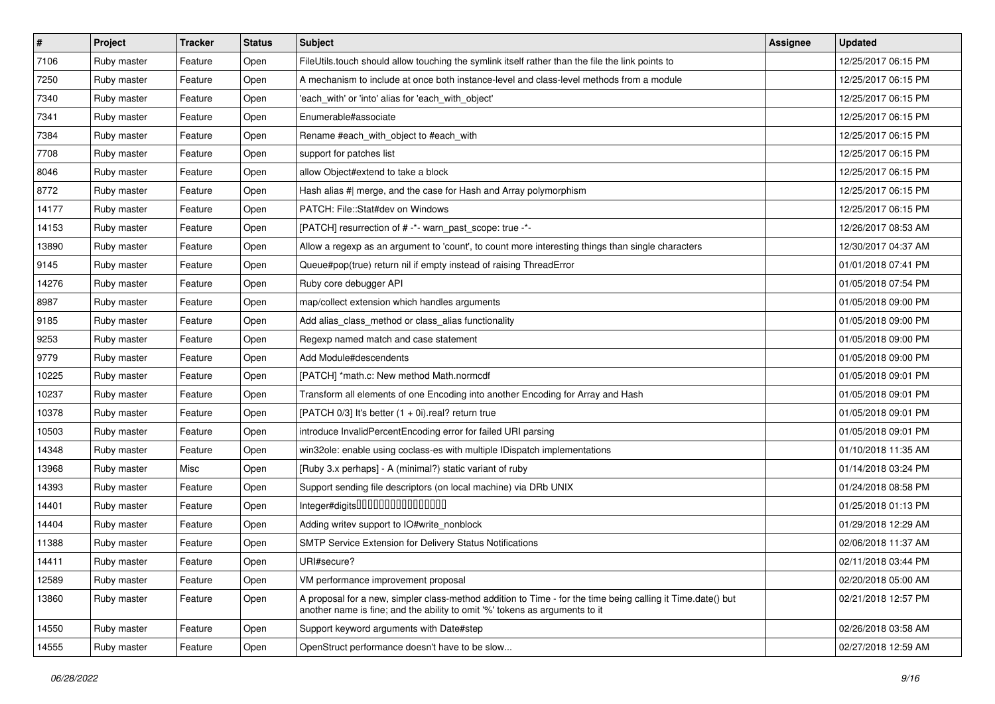| $\vert$ # | Project     | <b>Tracker</b> | <b>Status</b> | <b>Subject</b>                                                                                                                                                                             | Assignee | <b>Updated</b>      |
|-----------|-------------|----------------|---------------|--------------------------------------------------------------------------------------------------------------------------------------------------------------------------------------------|----------|---------------------|
| 7106      | Ruby master | Feature        | Open          | FileUtils.touch should allow touching the symlink itself rather than the file the link points to                                                                                           |          | 12/25/2017 06:15 PM |
| 7250      | Ruby master | Feature        | Open          | A mechanism to include at once both instance-level and class-level methods from a module                                                                                                   |          | 12/25/2017 06:15 PM |
| 7340      | Ruby master | Feature        | Open          | 'each_with' or 'into' alias for 'each_with_object'                                                                                                                                         |          | 12/25/2017 06:15 PM |
| 7341      | Ruby master | Feature        | Open          | Enumerable#associate                                                                                                                                                                       |          | 12/25/2017 06:15 PM |
| 7384      | Ruby master | Feature        | Open          | Rename #each_with_object to #each_with                                                                                                                                                     |          | 12/25/2017 06:15 PM |
| 7708      | Ruby master | Feature        | Open          | support for patches list                                                                                                                                                                   |          | 12/25/2017 06:15 PM |
| 8046      | Ruby master | Feature        | Open          | allow Object#extend to take a block                                                                                                                                                        |          | 12/25/2017 06:15 PM |
| 8772      | Ruby master | Feature        | Open          | Hash alias #  merge, and the case for Hash and Array polymorphism                                                                                                                          |          | 12/25/2017 06:15 PM |
| 14177     | Ruby master | Feature        | Open          | PATCH: File::Stat#dev on Windows                                                                                                                                                           |          | 12/25/2017 06:15 PM |
| 14153     | Ruby master | Feature        | Open          | [PATCH] resurrection of # -*- warn_past_scope: true -*-                                                                                                                                    |          | 12/26/2017 08:53 AM |
| 13890     | Ruby master | Feature        | Open          | Allow a regexp as an argument to 'count', to count more interesting things than single characters                                                                                          |          | 12/30/2017 04:37 AM |
| 9145      | Ruby master | Feature        | Open          | Queue#pop(true) return nil if empty instead of raising ThreadError                                                                                                                         |          | 01/01/2018 07:41 PM |
| 14276     | Ruby master | Feature        | Open          | Ruby core debugger API                                                                                                                                                                     |          | 01/05/2018 07:54 PM |
| 8987      | Ruby master | Feature        | Open          | map/collect extension which handles arguments                                                                                                                                              |          | 01/05/2018 09:00 PM |
| 9185      | Ruby master | Feature        | Open          | Add alias_class_method or class_alias functionality                                                                                                                                        |          | 01/05/2018 09:00 PM |
| 9253      | Ruby master | Feature        | Open          | Regexp named match and case statement                                                                                                                                                      |          | 01/05/2018 09:00 PM |
| 9779      | Ruby master | Feature        | Open          | Add Module#descendents                                                                                                                                                                     |          | 01/05/2018 09:00 PM |
| 10225     | Ruby master | Feature        | Open          | [PATCH] *math.c: New method Math.normcdf                                                                                                                                                   |          | 01/05/2018 09:01 PM |
| 10237     | Ruby master | Feature        | Open          | Transform all elements of one Encoding into another Encoding for Array and Hash                                                                                                            |          | 01/05/2018 09:01 PM |
| 10378     | Ruby master | Feature        | Open          | [PATCH $0/3$ ] It's better $(1 + 0i)$ .real? return true                                                                                                                                   |          | 01/05/2018 09:01 PM |
| 10503     | Ruby master | Feature        | Open          | introduce InvalidPercentEncoding error for failed URI parsing                                                                                                                              |          | 01/05/2018 09:01 PM |
| 14348     | Ruby master | Feature        | Open          | win32ole: enable using coclass-es with multiple IDispatch implementations                                                                                                                  |          | 01/10/2018 11:35 AM |
| 13968     | Ruby master | Misc           | Open          | [Ruby 3.x perhaps] - A (minimal?) static variant of ruby                                                                                                                                   |          | 01/14/2018 03:24 PM |
| 14393     | Ruby master | Feature        | Open          | Support sending file descriptors (on local machine) via DRb UNIX                                                                                                                           |          | 01/24/2018 08:58 PM |
| 14401     | Ruby master | Feature        | Open          | Integer#digits0000000000000000                                                                                                                                                             |          | 01/25/2018 01:13 PM |
| 14404     | Ruby master | Feature        | Open          | Adding writev support to IO#write_nonblock                                                                                                                                                 |          | 01/29/2018 12:29 AM |
| 11388     | Ruby master | Feature        | Open          | SMTP Service Extension for Delivery Status Notifications                                                                                                                                   |          | 02/06/2018 11:37 AM |
| 14411     | Ruby master | Feature        | Open          | URI#secure?                                                                                                                                                                                |          | 02/11/2018 03:44 PM |
| 12589     | Ruby master | Feature        | Open          | VM performance improvement proposal                                                                                                                                                        |          | 02/20/2018 05:00 AM |
| 13860     | Ruby master | Feature        | Open          | A proposal for a new, simpler class-method addition to Time - for the time being calling it Time.date() but<br>another name is fine; and the ability to omit '%' tokens as arguments to it |          | 02/21/2018 12:57 PM |
| 14550     | Ruby master | Feature        | Open          | Support keyword arguments with Date#step                                                                                                                                                   |          | 02/26/2018 03:58 AM |
| 14555     | Ruby master | Feature        | Open          | OpenStruct performance doesn't have to be slow                                                                                                                                             |          | 02/27/2018 12:59 AM |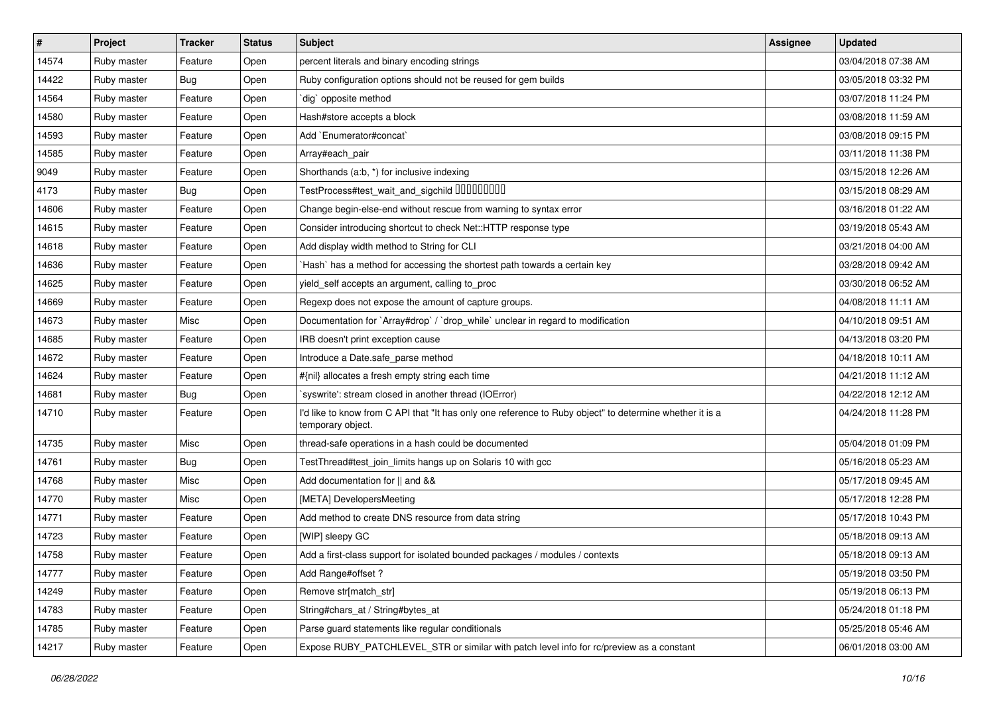| #     | Project     | <b>Tracker</b> | <b>Status</b> | Subject                                                                                                                       | Assignee | <b>Updated</b>      |
|-------|-------------|----------------|---------------|-------------------------------------------------------------------------------------------------------------------------------|----------|---------------------|
| 14574 | Ruby master | Feature        | Open          | percent literals and binary encoding strings                                                                                  |          | 03/04/2018 07:38 AM |
| 14422 | Ruby master | <b>Bug</b>     | Open          | Ruby configuration options should not be reused for gem builds                                                                |          | 03/05/2018 03:32 PM |
| 14564 | Ruby master | Feature        | Open          | dig` opposite method                                                                                                          |          | 03/07/2018 11:24 PM |
| 14580 | Ruby master | Feature        | Open          | Hash#store accepts a block                                                                                                    |          | 03/08/2018 11:59 AM |
| 14593 | Ruby master | Feature        | Open          | Add `Enumerator#concat`                                                                                                       |          | 03/08/2018 09:15 PM |
| 14585 | Ruby master | Feature        | Open          | Array#each_pair                                                                                                               |          | 03/11/2018 11:38 PM |
| 9049  | Ruby master | Feature        | Open          | Shorthands (a:b, *) for inclusive indexing                                                                                    |          | 03/15/2018 12:26 AM |
| 4173  | Ruby master | <b>Bug</b>     | Open          | TestProcess#test_wait_and_sigchild DDDDDDDD                                                                                   |          | 03/15/2018 08:29 AM |
| 14606 | Ruby master | Feature        | Open          | Change begin-else-end without rescue from warning to syntax error                                                             |          | 03/16/2018 01:22 AM |
| 14615 | Ruby master | Feature        | Open          | Consider introducing shortcut to check Net::HTTP response type                                                                |          | 03/19/2018 05:43 AM |
| 14618 | Ruby master | Feature        | Open          | Add display width method to String for CLI                                                                                    |          | 03/21/2018 04:00 AM |
| 14636 | Ruby master | Feature        | Open          | 'Hash' has a method for accessing the shortest path towards a certain key                                                     |          | 03/28/2018 09:42 AM |
| 14625 | Ruby master | Feature        | Open          | yield_self accepts an argument, calling to_proc                                                                               |          | 03/30/2018 06:52 AM |
| 14669 | Ruby master | Feature        | Open          | Regexp does not expose the amount of capture groups.                                                                          |          | 04/08/2018 11:11 AM |
| 14673 | Ruby master | Misc           | Open          | Documentation for `Array#drop` / `drop_while` unclear in regard to modification                                               |          | 04/10/2018 09:51 AM |
| 14685 | Ruby master | Feature        | Open          | IRB doesn't print exception cause                                                                                             |          | 04/13/2018 03:20 PM |
| 14672 | Ruby master | Feature        | Open          | Introduce a Date.safe_parse method                                                                                            |          | 04/18/2018 10:11 AM |
| 14624 | Ruby master | Feature        | Open          | #{nil} allocates a fresh empty string each time                                                                               |          | 04/21/2018 11:12 AM |
| 14681 | Ruby master | <b>Bug</b>     | Open          | `syswrite': stream closed in another thread (IOError)                                                                         |          | 04/22/2018 12:12 AM |
| 14710 | Ruby master | Feature        | Open          | I'd like to know from C API that "It has only one reference to Ruby object" to determine whether it is a<br>temporary object. |          | 04/24/2018 11:28 PM |
| 14735 | Ruby master | Misc           | Open          | thread-safe operations in a hash could be documented                                                                          |          | 05/04/2018 01:09 PM |
| 14761 | Ruby master | Bug            | Open          | TestThread#test_join_limits hangs up on Solaris 10 with gcc                                                                   |          | 05/16/2018 05:23 AM |
| 14768 | Ruby master | Misc           | Open          | Add documentation for    and &&                                                                                               |          | 05/17/2018 09:45 AM |
| 14770 | Ruby master | Misc           | Open          | [META] DevelopersMeeting                                                                                                      |          | 05/17/2018 12:28 PM |
| 14771 | Ruby master | Feature        | Open          | Add method to create DNS resource from data string                                                                            |          | 05/17/2018 10:43 PM |
| 14723 | Ruby master | Feature        | Open          | [WIP] sleepy GC                                                                                                               |          | 05/18/2018 09:13 AM |
| 14758 | Ruby master | Feature        | Open          | Add a first-class support for isolated bounded packages / modules / contexts                                                  |          | 05/18/2018 09:13 AM |
| 14777 | Ruby master | Feature        | Open          | Add Range#offset ?                                                                                                            |          | 05/19/2018 03:50 PM |
| 14249 | Ruby master | Feature        | Open          | Remove str[match_str]                                                                                                         |          | 05/19/2018 06:13 PM |
| 14783 | Ruby master | Feature        | Open          | String#chars_at / String#bytes_at                                                                                             |          | 05/24/2018 01:18 PM |
| 14785 | Ruby master | Feature        | Open          | Parse guard statements like regular conditionals                                                                              |          | 05/25/2018 05:46 AM |
| 14217 | Ruby master | Feature        | Open          | Expose RUBY_PATCHLEVEL_STR or similar with patch level info for rc/preview as a constant                                      |          | 06/01/2018 03:00 AM |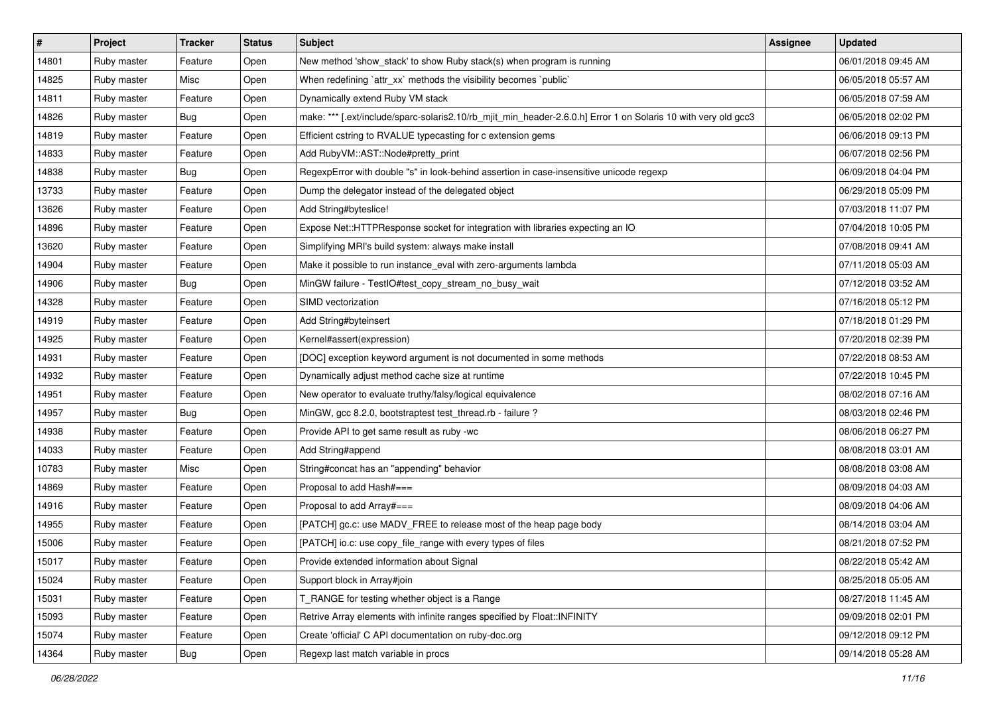| #     | Project     | <b>Tracker</b> | <b>Status</b> | <b>Subject</b>                                                                                                 | Assignee | <b>Updated</b>      |
|-------|-------------|----------------|---------------|----------------------------------------------------------------------------------------------------------------|----------|---------------------|
| 14801 | Ruby master | Feature        | Open          | New method 'show_stack' to show Ruby stack(s) when program is running                                          |          | 06/01/2018 09:45 AM |
| 14825 | Ruby master | Misc           | Open          | When redefining `attr_xx` methods the visibility becomes `public`                                              |          | 06/05/2018 05:57 AM |
| 14811 | Ruby master | Feature        | Open          | Dynamically extend Ruby VM stack                                                                               |          | 06/05/2018 07:59 AM |
| 14826 | Ruby master | <b>Bug</b>     | Open          | make: *** [.ext/include/sparc-solaris2.10/rb_mjit_min_header-2.6.0.h] Error 1 on Solaris 10 with very old gcc3 |          | 06/05/2018 02:02 PM |
| 14819 | Ruby master | Feature        | Open          | Efficient cstring to RVALUE typecasting for c extension gems                                                   |          | 06/06/2018 09:13 PM |
| 14833 | Ruby master | Feature        | Open          | Add RubyVM::AST::Node#pretty_print                                                                             |          | 06/07/2018 02:56 PM |
| 14838 | Ruby master | Bug            | Open          | RegexpError with double "s" in look-behind assertion in case-insensitive unicode regexp                        |          | 06/09/2018 04:04 PM |
| 13733 | Ruby master | Feature        | Open          | Dump the delegator instead of the delegated object                                                             |          | 06/29/2018 05:09 PM |
| 13626 | Ruby master | Feature        | Open          | Add String#byteslice!                                                                                          |          | 07/03/2018 11:07 PM |
| 14896 | Ruby master | Feature        | Open          | Expose Net::HTTPResponse socket for integration with libraries expecting an IO                                 |          | 07/04/2018 10:05 PM |
| 13620 | Ruby master | Feature        | Open          | Simplifying MRI's build system: always make install                                                            |          | 07/08/2018 09:41 AM |
| 14904 | Ruby master | Feature        | Open          | Make it possible to run instance_eval with zero-arguments lambda                                               |          | 07/11/2018 05:03 AM |
| 14906 | Ruby master | <b>Bug</b>     | Open          | MinGW failure - TestIO#test_copy_stream_no_busy_wait                                                           |          | 07/12/2018 03:52 AM |
| 14328 | Ruby master | Feature        | Open          | SIMD vectorization                                                                                             |          | 07/16/2018 05:12 PM |
| 14919 | Ruby master | Feature        | Open          | Add String#byteinsert                                                                                          |          | 07/18/2018 01:29 PM |
| 14925 | Ruby master | Feature        | Open          | Kernel#assert(expression)                                                                                      |          | 07/20/2018 02:39 PM |
| 14931 | Ruby master | Feature        | Open          | [DOC] exception keyword argument is not documented in some methods                                             |          | 07/22/2018 08:53 AM |
| 14932 | Ruby master | Feature        | Open          | Dynamically adjust method cache size at runtime                                                                |          | 07/22/2018 10:45 PM |
| 14951 | Ruby master | Feature        | Open          | New operator to evaluate truthy/falsy/logical equivalence                                                      |          | 08/02/2018 07:16 AM |
| 14957 | Ruby master | Bug            | Open          | MinGW, gcc 8.2.0, bootstraptest test_thread.rb - failure ?                                                     |          | 08/03/2018 02:46 PM |
| 14938 | Ruby master | Feature        | Open          | Provide API to get same result as ruby -wc                                                                     |          | 08/06/2018 06:27 PM |
| 14033 | Ruby master | Feature        | Open          | Add String#append                                                                                              |          | 08/08/2018 03:01 AM |
| 10783 | Ruby master | Misc           | Open          | String#concat has an "appending" behavior                                                                      |          | 08/08/2018 03:08 AM |
| 14869 | Ruby master | Feature        | Open          | Proposal to add Hash#===                                                                                       |          | 08/09/2018 04:03 AM |
| 14916 | Ruby master | Feature        | Open          | Proposal to add Array#===                                                                                      |          | 08/09/2018 04:06 AM |
| 14955 | Ruby master | Feature        | Open          | [PATCH] gc.c: use MADV_FREE to release most of the heap page body                                              |          | 08/14/2018 03:04 AM |
| 15006 | Ruby master | Feature        | Open          | [PATCH] io.c: use copy_file_range with every types of files                                                    |          | 08/21/2018 07:52 PM |
| 15017 | Ruby master | Feature        | Open          | Provide extended information about Signal                                                                      |          | 08/22/2018 05:42 AM |
| 15024 | Ruby master | Feature        | Open          | Support block in Array#join                                                                                    |          | 08/25/2018 05:05 AM |
| 15031 | Ruby master | Feature        | Open          | T_RANGE for testing whether object is a Range                                                                  |          | 08/27/2018 11:45 AM |
| 15093 | Ruby master | Feature        | Open          | Retrive Array elements with infinite ranges specified by Float::INFINITY                                       |          | 09/09/2018 02:01 PM |
| 15074 | Ruby master | Feature        | Open          | Create 'official' C API documentation on ruby-doc.org                                                          |          | 09/12/2018 09:12 PM |
| 14364 | Ruby master | Bug            | Open          | Regexp last match variable in procs                                                                            |          | 09/14/2018 05:28 AM |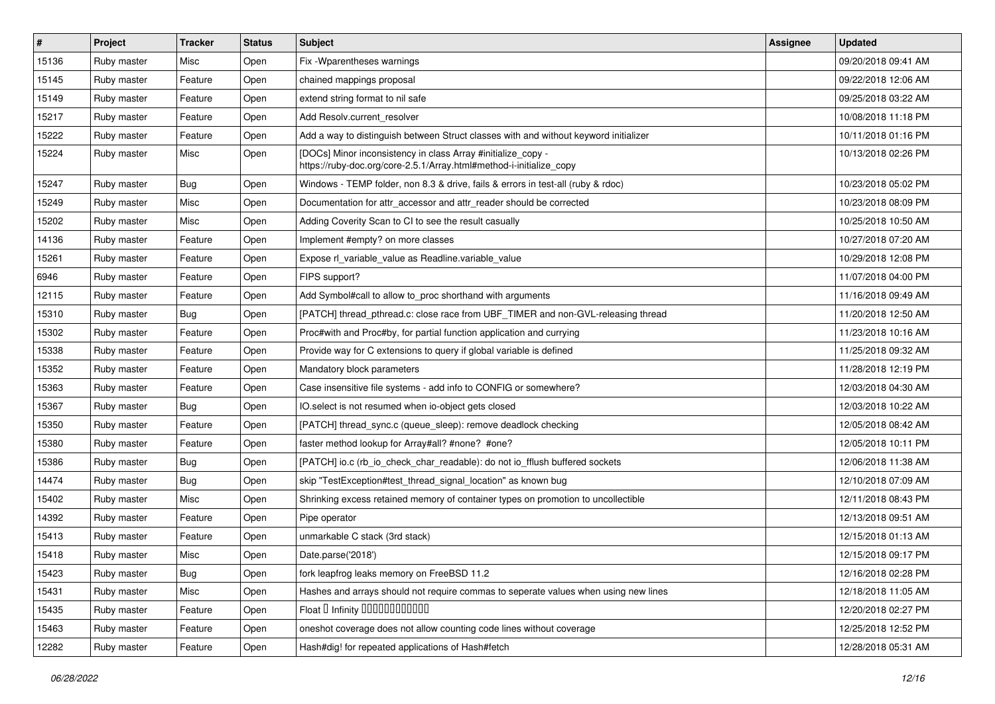| $\vert$ # | Project     | <b>Tracker</b> | <b>Status</b> | <b>Subject</b>                                                                                                                      | <b>Assignee</b> | <b>Updated</b>      |
|-----------|-------------|----------------|---------------|-------------------------------------------------------------------------------------------------------------------------------------|-----------------|---------------------|
| 15136     | Ruby master | Misc           | Open          | Fix - Wparentheses warnings                                                                                                         |                 | 09/20/2018 09:41 AM |
| 15145     | Ruby master | Feature        | Open          | chained mappings proposal                                                                                                           |                 | 09/22/2018 12:06 AM |
| 15149     | Ruby master | Feature        | Open          | extend string format to nil safe                                                                                                    |                 | 09/25/2018 03:22 AM |
| 15217     | Ruby master | Feature        | Open          | Add Resolv.current_resolver                                                                                                         |                 | 10/08/2018 11:18 PM |
| 15222     | Ruby master | Feature        | Open          | Add a way to distinguish between Struct classes with and without keyword initializer                                                |                 | 10/11/2018 01:16 PM |
| 15224     | Ruby master | Misc           | Open          | [DOCs] Minor inconsistency in class Array #initialize_copy -<br>https://ruby-doc.org/core-2.5.1/Array.html#method-i-initialize_copy |                 | 10/13/2018 02:26 PM |
| 15247     | Ruby master | Bug            | Open          | Windows - TEMP folder, non 8.3 & drive, fails & errors in test-all (ruby & rdoc)                                                    |                 | 10/23/2018 05:02 PM |
| 15249     | Ruby master | Misc           | Open          | Documentation for attr_accessor and attr_reader should be corrected                                                                 |                 | 10/23/2018 08:09 PM |
| 15202     | Ruby master | Misc           | Open          | Adding Coverity Scan to CI to see the result casually                                                                               |                 | 10/25/2018 10:50 AM |
| 14136     | Ruby master | Feature        | Open          | Implement #empty? on more classes                                                                                                   |                 | 10/27/2018 07:20 AM |
| 15261     | Ruby master | Feature        | Open          | Expose rl_variable_value as Readline.variable_value                                                                                 |                 | 10/29/2018 12:08 PM |
| 6946      | Ruby master | Feature        | Open          | FIPS support?                                                                                                                       |                 | 11/07/2018 04:00 PM |
| 12115     | Ruby master | Feature        | Open          | Add Symbol#call to allow to proc shorthand with arguments                                                                           |                 | 11/16/2018 09:49 AM |
| 15310     | Ruby master | <b>Bug</b>     | Open          | [PATCH] thread_pthread.c: close race from UBF_TIMER and non-GVL-releasing thread                                                    |                 | 11/20/2018 12:50 AM |
| 15302     | Ruby master | Feature        | Open          | Proc#with and Proc#by, for partial function application and currying                                                                |                 | 11/23/2018 10:16 AM |
| 15338     | Ruby master | Feature        | Open          | Provide way for C extensions to query if global variable is defined                                                                 |                 | 11/25/2018 09:32 AM |
| 15352     | Ruby master | Feature        | Open          | Mandatory block parameters                                                                                                          |                 | 11/28/2018 12:19 PM |
| 15363     | Ruby master | Feature        | Open          | Case insensitive file systems - add info to CONFIG or somewhere?                                                                    |                 | 12/03/2018 04:30 AM |
| 15367     | Ruby master | <b>Bug</b>     | Open          | IO.select is not resumed when io-object gets closed                                                                                 |                 | 12/03/2018 10:22 AM |
| 15350     | Ruby master | Feature        | Open          | [PATCH] thread_sync.c (queue_sleep): remove deadlock checking                                                                       |                 | 12/05/2018 08:42 AM |
| 15380     | Ruby master | Feature        | Open          | faster method lookup for Array#all? #none? #one?                                                                                    |                 | 12/05/2018 10:11 PM |
| 15386     | Ruby master | <b>Bug</b>     | Open          | [PATCH] io.c (rb_io_check_char_readable): do not io_fflush buffered sockets                                                         |                 | 12/06/2018 11:38 AM |
| 14474     | Ruby master | <b>Bug</b>     | Open          | skip "TestException#test_thread_signal_location" as known bug                                                                       |                 | 12/10/2018 07:09 AM |
| 15402     | Ruby master | Misc           | Open          | Shrinking excess retained memory of container types on promotion to uncollectible                                                   |                 | 12/11/2018 08:43 PM |
| 14392     | Ruby master | Feature        | Open          | Pipe operator                                                                                                                       |                 | 12/13/2018 09:51 AM |
| 15413     | Ruby master | Feature        | Open          | unmarkable C stack (3rd stack)                                                                                                      |                 | 12/15/2018 01:13 AM |
| 15418     | Ruby master | Misc           | Open          | Date.parse('2018')                                                                                                                  |                 | 12/15/2018 09:17 PM |
| 15423     | Ruby master | <b>Bug</b>     | Open          | fork leapfrog leaks memory on FreeBSD 11.2                                                                                          |                 | 12/16/2018 02:28 PM |
| 15431     | Ruby master | Misc           | Open          | Hashes and arrays should not require commas to seperate values when using new lines                                                 |                 | 12/18/2018 11:05 AM |
| 15435     | Ruby master | Feature        | Open          | Float D Infinity 00000000000                                                                                                        |                 | 12/20/2018 02:27 PM |
| 15463     | Ruby master | Feature        | Open          | oneshot coverage does not allow counting code lines without coverage                                                                |                 | 12/25/2018 12:52 PM |
| 12282     | Ruby master | Feature        | Open          | Hash#dig! for repeated applications of Hash#fetch                                                                                   |                 | 12/28/2018 05:31 AM |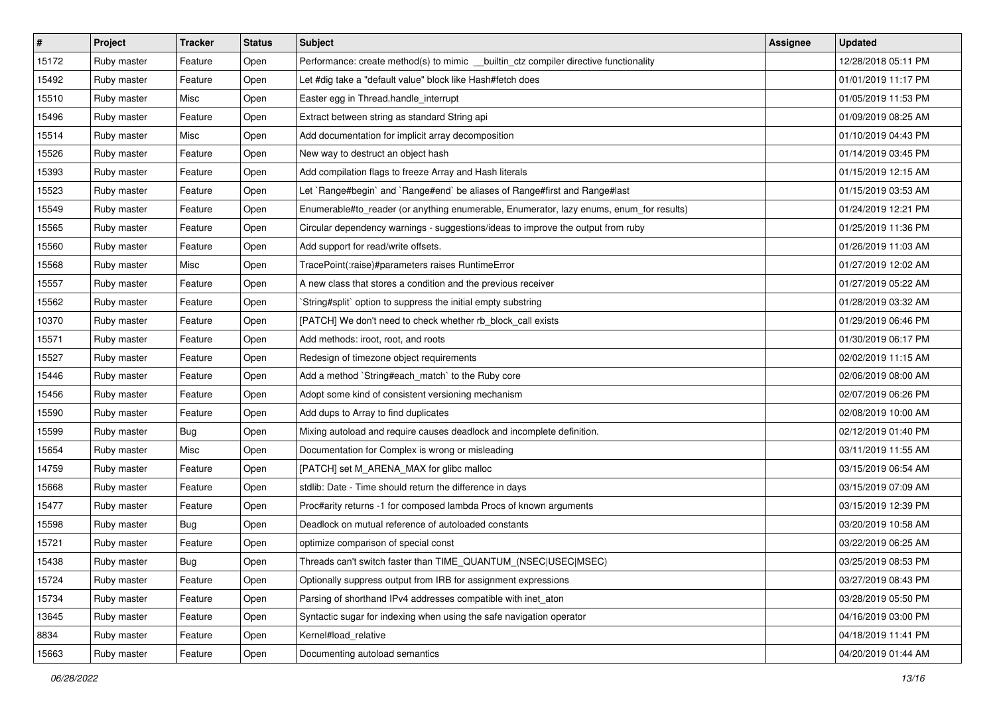| $\sharp$ | Project     | <b>Tracker</b> | <b>Status</b> | <b>Subject</b>                                                                          | Assignee | <b>Updated</b>      |
|----------|-------------|----------------|---------------|-----------------------------------------------------------------------------------------|----------|---------------------|
| 15172    | Ruby master | Feature        | Open          | Performance: create method(s) to mimic __builtin_ctz compiler directive functionality   |          | 12/28/2018 05:11 PM |
| 15492    | Ruby master | Feature        | Open          | Let #dig take a "default value" block like Hash#fetch does                              |          | 01/01/2019 11:17 PM |
| 15510    | Ruby master | Misc           | Open          | Easter egg in Thread.handle_interrupt                                                   |          | 01/05/2019 11:53 PM |
| 15496    | Ruby master | Feature        | Open          | Extract between string as standard String api                                           |          | 01/09/2019 08:25 AM |
| 15514    | Ruby master | Misc           | Open          | Add documentation for implicit array decomposition                                      |          | 01/10/2019 04:43 PM |
| 15526    | Ruby master | Feature        | Open          | New way to destruct an object hash                                                      |          | 01/14/2019 03:45 PM |
| 15393    | Ruby master | Feature        | Open          | Add compilation flags to freeze Array and Hash literals                                 |          | 01/15/2019 12:15 AM |
| 15523    | Ruby master | Feature        | Open          | Let `Range#begin` and `Range#end` be aliases of Range#first and Range#last              |          | 01/15/2019 03:53 AM |
| 15549    | Ruby master | Feature        | Open          | Enumerable#to_reader (or anything enumerable, Enumerator, lazy enums, enum_for results) |          | 01/24/2019 12:21 PM |
| 15565    | Ruby master | Feature        | Open          | Circular dependency warnings - suggestions/ideas to improve the output from ruby        |          | 01/25/2019 11:36 PM |
| 15560    | Ruby master | Feature        | Open          | Add support for read/write offsets.                                                     |          | 01/26/2019 11:03 AM |
| 15568    | Ruby master | Misc           | Open          | TracePoint(:raise)#parameters raises RuntimeError                                       |          | 01/27/2019 12:02 AM |
| 15557    | Ruby master | Feature        | Open          | A new class that stores a condition and the previous receiver                           |          | 01/27/2019 05:22 AM |
| 15562    | Ruby master | Feature        | Open          | String#split` option to suppress the initial empty substring                            |          | 01/28/2019 03:32 AM |
| 10370    | Ruby master | Feature        | Open          | [PATCH] We don't need to check whether rb_block_call exists                             |          | 01/29/2019 06:46 PM |
| 15571    | Ruby master | Feature        | Open          | Add methods: iroot, root, and roots                                                     |          | 01/30/2019 06:17 PM |
| 15527    | Ruby master | Feature        | Open          | Redesign of timezone object requirements                                                |          | 02/02/2019 11:15 AM |
| 15446    | Ruby master | Feature        | Open          | Add a method `String#each_match` to the Ruby core                                       |          | 02/06/2019 08:00 AM |
| 15456    | Ruby master | Feature        | Open          | Adopt some kind of consistent versioning mechanism                                      |          | 02/07/2019 06:26 PM |
| 15590    | Ruby master | Feature        | Open          | Add dups to Array to find duplicates                                                    |          | 02/08/2019 10:00 AM |
| 15599    | Ruby master | Bug            | Open          | Mixing autoload and require causes deadlock and incomplete definition.                  |          | 02/12/2019 01:40 PM |
| 15654    | Ruby master | Misc           | Open          | Documentation for Complex is wrong or misleading                                        |          | 03/11/2019 11:55 AM |
| 14759    | Ruby master | Feature        | Open          | [PATCH] set M_ARENA_MAX for glibc malloc                                                |          | 03/15/2019 06:54 AM |
| 15668    | Ruby master | Feature        | Open          | stdlib: Date - Time should return the difference in days                                |          | 03/15/2019 07:09 AM |
| 15477    | Ruby master | Feature        | Open          | Proc#arity returns -1 for composed lambda Procs of known arguments                      |          | 03/15/2019 12:39 PM |
| 15598    | Ruby master | Bug            | Open          | Deadlock on mutual reference of autoloaded constants                                    |          | 03/20/2019 10:58 AM |
| 15721    | Ruby master | Feature        | Open          | optimize comparison of special const                                                    |          | 03/22/2019 06:25 AM |
| 15438    | Ruby master | Bug            | Open          | Threads can't switch faster than TIME_QUANTUM_(NSEC USEC MSEC)                          |          | 03/25/2019 08:53 PM |
| 15724    | Ruby master | Feature        | Open          | Optionally suppress output from IRB for assignment expressions                          |          | 03/27/2019 08:43 PM |
| 15734    | Ruby master | Feature        | Open          | Parsing of shorthand IPv4 addresses compatible with inet_aton                           |          | 03/28/2019 05:50 PM |
| 13645    | Ruby master | Feature        | Open          | Syntactic sugar for indexing when using the safe navigation operator                    |          | 04/16/2019 03:00 PM |
| 8834     | Ruby master | Feature        | Open          | Kernel#load relative                                                                    |          | 04/18/2019 11:41 PM |
| 15663    | Ruby master | Feature        | Open          | Documenting autoload semantics                                                          |          | 04/20/2019 01:44 AM |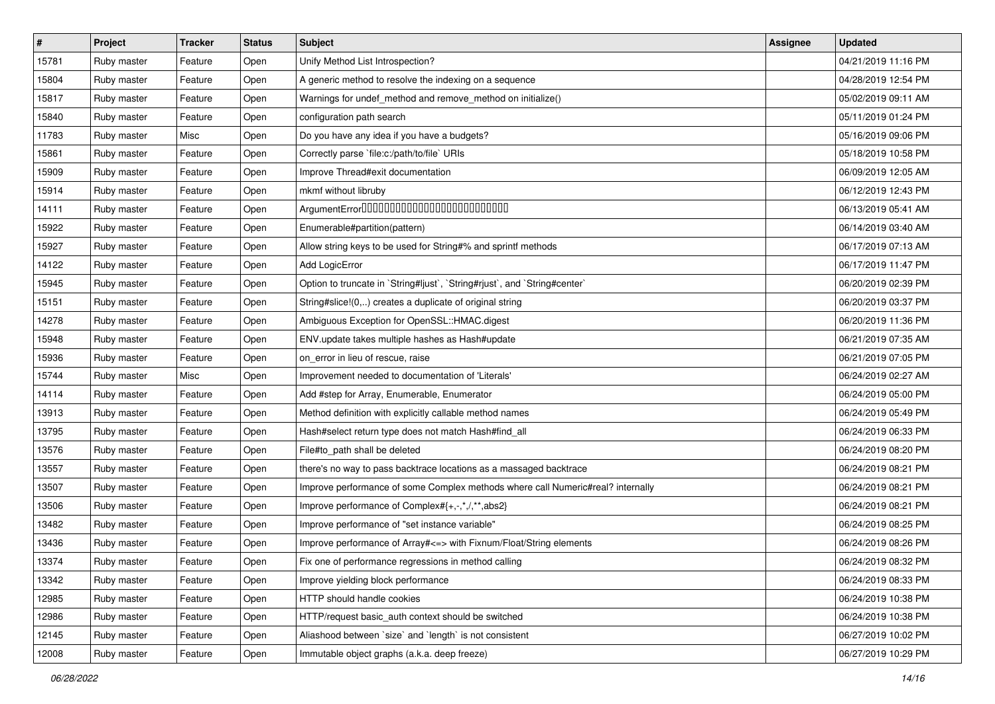| $\vert$ # | Project     | <b>Tracker</b> | <b>Status</b> | Subject                                                                         | Assignee | <b>Updated</b>      |
|-----------|-------------|----------------|---------------|---------------------------------------------------------------------------------|----------|---------------------|
| 15781     | Ruby master | Feature        | Open          | Unify Method List Introspection?                                                |          | 04/21/2019 11:16 PM |
| 15804     | Ruby master | Feature        | Open          | A generic method to resolve the indexing on a sequence                          |          | 04/28/2019 12:54 PM |
| 15817     | Ruby master | Feature        | Open          | Warnings for undef_method and remove_method on initialize()                     |          | 05/02/2019 09:11 AM |
| 15840     | Ruby master | Feature        | Open          | configuration path search                                                       |          | 05/11/2019 01:24 PM |
| 11783     | Ruby master | Misc           | Open          | Do you have any idea if you have a budgets?                                     |          | 05/16/2019 09:06 PM |
| 15861     | Ruby master | Feature        | Open          | Correctly parse `file:c:/path/to/file` URIs                                     |          | 05/18/2019 10:58 PM |
| 15909     | Ruby master | Feature        | Open          | Improve Thread#exit documentation                                               |          | 06/09/2019 12:05 AM |
| 15914     | Ruby master | Feature        | Open          | mkmf without libruby                                                            |          | 06/12/2019 12:43 PM |
| 14111     | Ruby master | Feature        | Open          |                                                                                 |          | 06/13/2019 05:41 AM |
| 15922     | Ruby master | Feature        | Open          | Enumerable#partition(pattern)                                                   |          | 06/14/2019 03:40 AM |
| 15927     | Ruby master | Feature        | Open          | Allow string keys to be used for String#% and sprintf methods                   |          | 06/17/2019 07:13 AM |
| 14122     | Ruby master | Feature        | Open          | Add LogicError                                                                  |          | 06/17/2019 11:47 PM |
| 15945     | Ruby master | Feature        | Open          | Option to truncate in `String#ljust`, `String#rjust`, and `String#center`       |          | 06/20/2019 02:39 PM |
| 15151     | Ruby master | Feature        | Open          | String#slice!(0,) creates a duplicate of original string                        |          | 06/20/2019 03:37 PM |
| 14278     | Ruby master | Feature        | Open          | Ambiguous Exception for OpenSSL::HMAC.digest                                    |          | 06/20/2019 11:36 PM |
| 15948     | Ruby master | Feature        | Open          | ENV.update takes multiple hashes as Hash#update                                 |          | 06/21/2019 07:35 AM |
| 15936     | Ruby master | Feature        | Open          | on_error in lieu of rescue, raise                                               |          | 06/21/2019 07:05 PM |
| 15744     | Ruby master | Misc           | Open          | Improvement needed to documentation of 'Literals'                               |          | 06/24/2019 02:27 AM |
| 14114     | Ruby master | Feature        | Open          | Add #step for Array, Enumerable, Enumerator                                     |          | 06/24/2019 05:00 PM |
| 13913     | Ruby master | Feature        | Open          | Method definition with explicitly callable method names                         |          | 06/24/2019 05:49 PM |
| 13795     | Ruby master | Feature        | Open          | Hash#select return type does not match Hash#find_all                            |          | 06/24/2019 06:33 PM |
| 13576     | Ruby master | Feature        | Open          | File#to_path shall be deleted                                                   |          | 06/24/2019 08:20 PM |
| 13557     | Ruby master | Feature        | Open          | there's no way to pass backtrace locations as a massaged backtrace              |          | 06/24/2019 08:21 PM |
| 13507     | Ruby master | Feature        | Open          | Improve performance of some Complex methods where call Numeric#real? internally |          | 06/24/2019 08:21 PM |
| 13506     | Ruby master | Feature        | Open          | Improve performance of Complex#{+,-,*,/,**,abs2}                                |          | 06/24/2019 08:21 PM |
| 13482     | Ruby master | Feature        | Open          | Improve performance of "set instance variable"                                  |          | 06/24/2019 08:25 PM |
| 13436     | Ruby master | Feature        | Open          | Improve performance of Array#<=> with Fixnum/Float/String elements              |          | 06/24/2019 08:26 PM |
| 13374     | Ruby master | Feature        | Open          | Fix one of performance regressions in method calling                            |          | 06/24/2019 08:32 PM |
| 13342     | Ruby master | Feature        | Open          | Improve yielding block performance                                              |          | 06/24/2019 08:33 PM |
| 12985     | Ruby master | Feature        | Open          | HTTP should handle cookies                                                      |          | 06/24/2019 10:38 PM |
| 12986     | Ruby master | Feature        | Open          | HTTP/request basic_auth context should be switched                              |          | 06/24/2019 10:38 PM |
| 12145     | Ruby master | Feature        | Open          | Aliashood between 'size' and 'length' is not consistent                         |          | 06/27/2019 10:02 PM |
| 12008     | Ruby master | Feature        | Open          | Immutable object graphs (a.k.a. deep freeze)                                    |          | 06/27/2019 10:29 PM |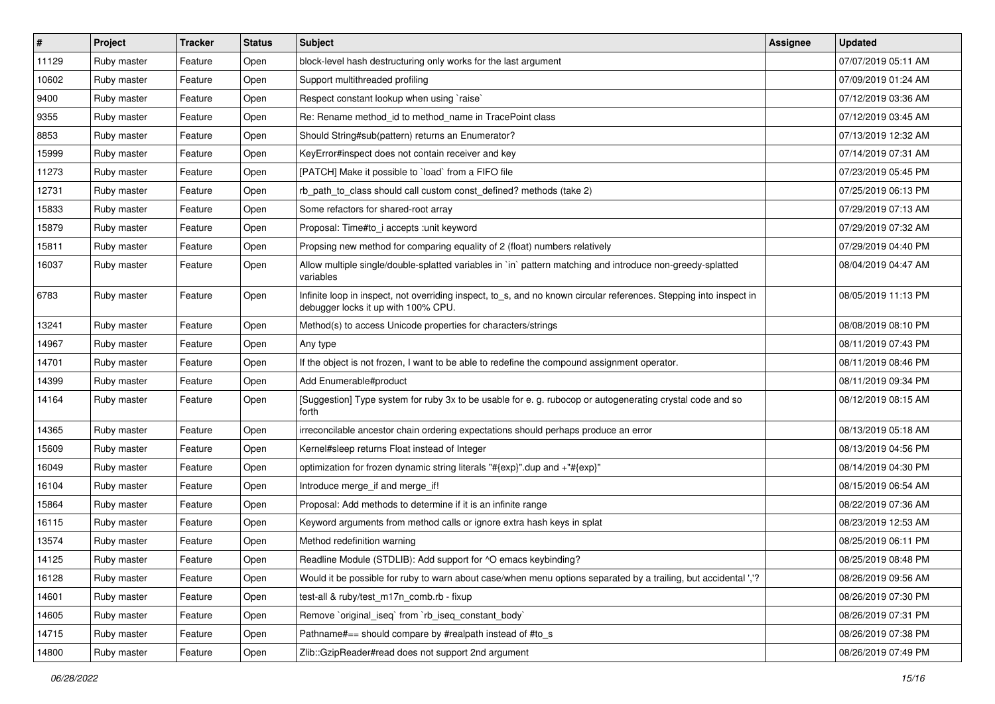| $\vert$ # | Project     | <b>Tracker</b> | <b>Status</b> | Subject                                                                                                                                                   | Assignee | <b>Updated</b>      |
|-----------|-------------|----------------|---------------|-----------------------------------------------------------------------------------------------------------------------------------------------------------|----------|---------------------|
| 11129     | Ruby master | Feature        | Open          | block-level hash destructuring only works for the last argument                                                                                           |          | 07/07/2019 05:11 AM |
| 10602     | Ruby master | Feature        | Open          | Support multithreaded profiling                                                                                                                           |          | 07/09/2019 01:24 AM |
| 9400      | Ruby master | Feature        | Open          | Respect constant lookup when using `raise`                                                                                                                |          | 07/12/2019 03:36 AM |
| 9355      | Ruby master | Feature        | Open          | Re: Rename method_id to method_name in TracePoint class                                                                                                   |          | 07/12/2019 03:45 AM |
| 8853      | Ruby master | Feature        | Open          | Should String#sub(pattern) returns an Enumerator?                                                                                                         |          | 07/13/2019 12:32 AM |
| 15999     | Ruby master | Feature        | Open          | KeyError#inspect does not contain receiver and key                                                                                                        |          | 07/14/2019 07:31 AM |
| 11273     | Ruby master | Feature        | Open          | [PATCH] Make it possible to `load` from a FIFO file                                                                                                       |          | 07/23/2019 05:45 PM |
| 12731     | Ruby master | Feature        | Open          | rb path to class should call custom const defined? methods (take 2)                                                                                       |          | 07/25/2019 06:13 PM |
| 15833     | Ruby master | Feature        | Open          | Some refactors for shared-root array                                                                                                                      |          | 07/29/2019 07:13 AM |
| 15879     | Ruby master | Feature        | Open          | Proposal: Time#to_i accepts : unit keyword                                                                                                                |          | 07/29/2019 07:32 AM |
| 15811     | Ruby master | Feature        | Open          | Propsing new method for comparing equality of 2 (float) numbers relatively                                                                                |          | 07/29/2019 04:40 PM |
| 16037     | Ruby master | Feature        | Open          | Allow multiple single/double-splatted variables in `in` pattern matching and introduce non-greedy-splatted<br>variables                                   |          | 08/04/2019 04:47 AM |
| 6783      | Ruby master | Feature        | Open          | Infinite loop in inspect, not overriding inspect, to_s, and no known circular references. Stepping into inspect in<br>debugger locks it up with 100% CPU. |          | 08/05/2019 11:13 PM |
| 13241     | Ruby master | Feature        | Open          | Method(s) to access Unicode properties for characters/strings                                                                                             |          | 08/08/2019 08:10 PM |
| 14967     | Ruby master | Feature        | Open          | Any type                                                                                                                                                  |          | 08/11/2019 07:43 PM |
| 14701     | Ruby master | Feature        | Open          | If the object is not frozen, I want to be able to redefine the compound assignment operator.                                                              |          | 08/11/2019 08:46 PM |
| 14399     | Ruby master | Feature        | Open          | Add Enumerable#product                                                                                                                                    |          | 08/11/2019 09:34 PM |
| 14164     | Ruby master | Feature        | Open          | [Suggestion] Type system for ruby 3x to be usable for e. g. rubocop or autogenerating crystal code and so<br>forth                                        |          | 08/12/2019 08:15 AM |
| 14365     | Ruby master | Feature        | Open          | irreconcilable ancestor chain ordering expectations should perhaps produce an error                                                                       |          | 08/13/2019 05:18 AM |
| 15609     | Ruby master | Feature        | Open          | Kernel#sleep returns Float instead of Integer                                                                                                             |          | 08/13/2019 04:56 PM |
| 16049     | Ruby master | Feature        | Open          | optimization for frozen dynamic string literals "#{exp}" dup and +"#{exp}"                                                                                |          | 08/14/2019 04:30 PM |
| 16104     | Ruby master | Feature        | Open          | Introduce merge_if and merge_if!                                                                                                                          |          | 08/15/2019 06:54 AM |
| 15864     | Ruby master | Feature        | Open          | Proposal: Add methods to determine if it is an infinite range                                                                                             |          | 08/22/2019 07:36 AM |
| 16115     | Ruby master | Feature        | Open          | Keyword arguments from method calls or ignore extra hash keys in splat                                                                                    |          | 08/23/2019 12:53 AM |
| 13574     | Ruby master | Feature        | Open          | Method redefinition warning                                                                                                                               |          | 08/25/2019 06:11 PM |
| 14125     | Ruby master | Feature        | Open          | Readline Module (STDLIB): Add support for ^O emacs keybinding?                                                                                            |          | 08/25/2019 08:48 PM |
| 16128     | Ruby master | Feature        | Open          | Would it be possible for ruby to warn about case/when menu options separated by a trailing, but accidental ','?                                           |          | 08/26/2019 09:56 AM |
| 14601     | Ruby master | Feature        | Open          | test-all & ruby/test_m17n_comb.rb - fixup                                                                                                                 |          | 08/26/2019 07:30 PM |
| 14605     | Ruby master | Feature        | Open          | Remove `original_iseq` from `rb_iseq_constant_body`                                                                                                       |          | 08/26/2019 07:31 PM |
| 14715     | Ruby master | Feature        | Open          | Pathname#== should compare by #realpath instead of #to_s                                                                                                  |          | 08/26/2019 07:38 PM |
| 14800     | Ruby master | Feature        | Open          | Zlib::GzipReader#read does not support 2nd argument                                                                                                       |          | 08/26/2019 07:49 PM |